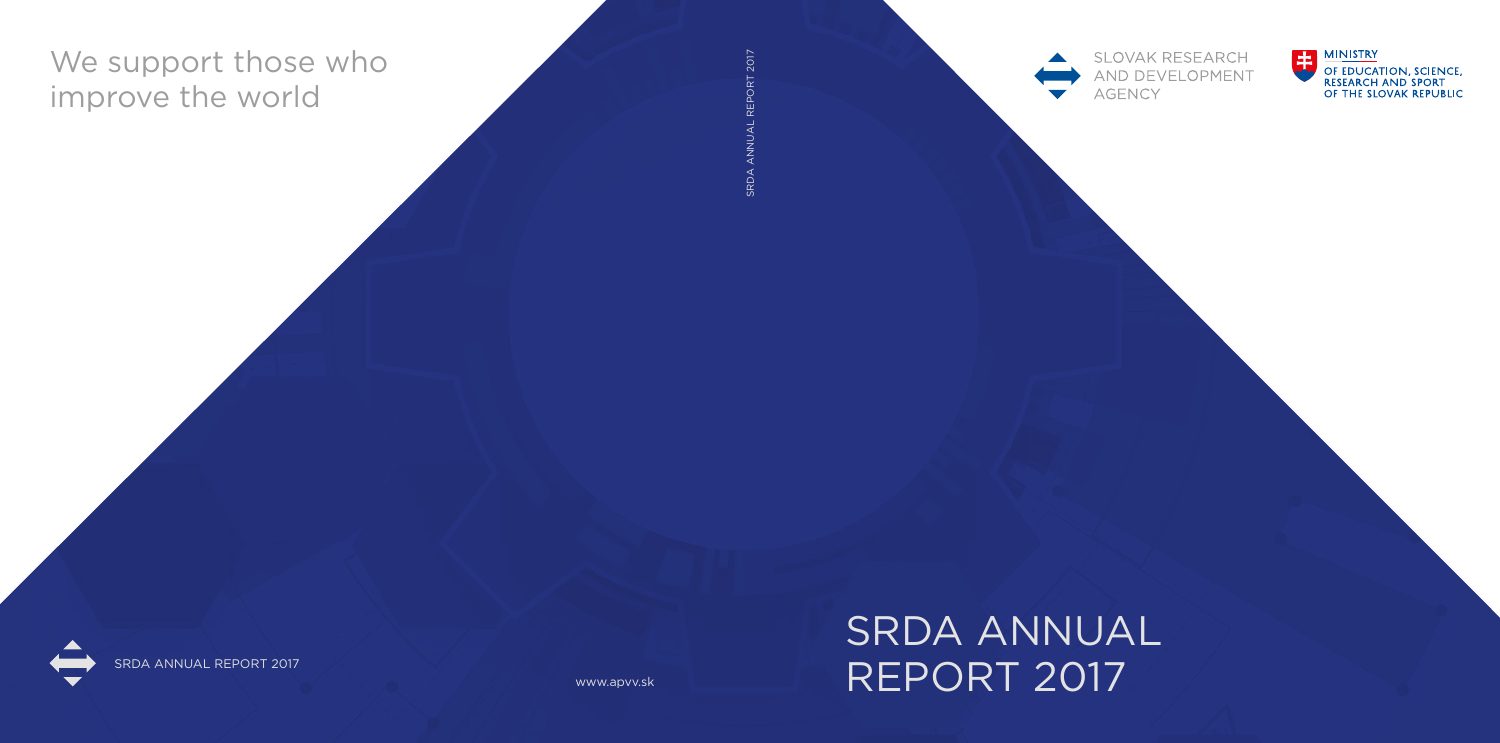# We support those who improve the world

**7021300** SRDA ANNUAL REPORT 2017짇



www.apvv.sk

**SLOVAK RESEARCH** AND DEVELOPMENT **AGENCY** 







SRDA ANNUAL REPORT 2017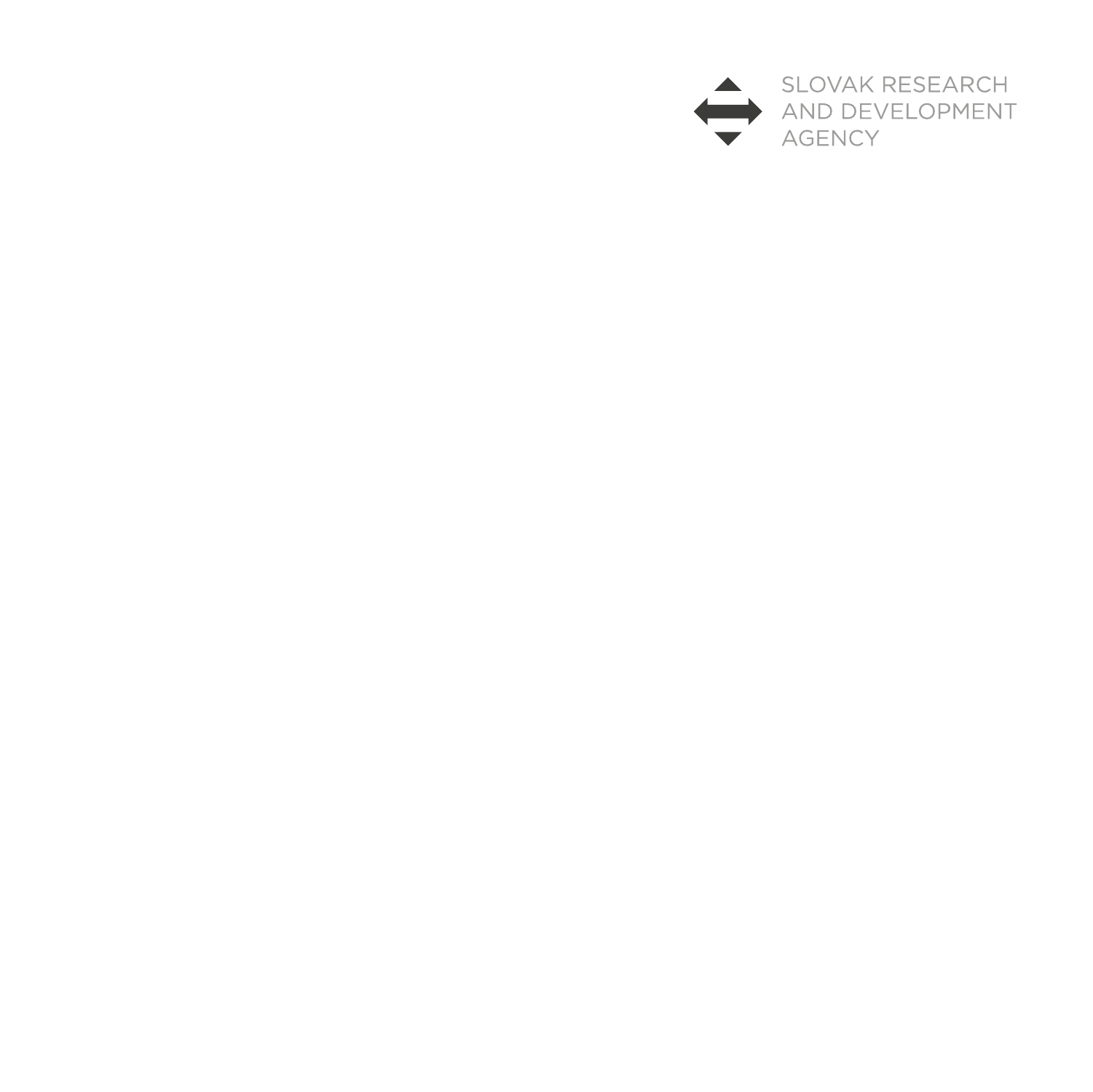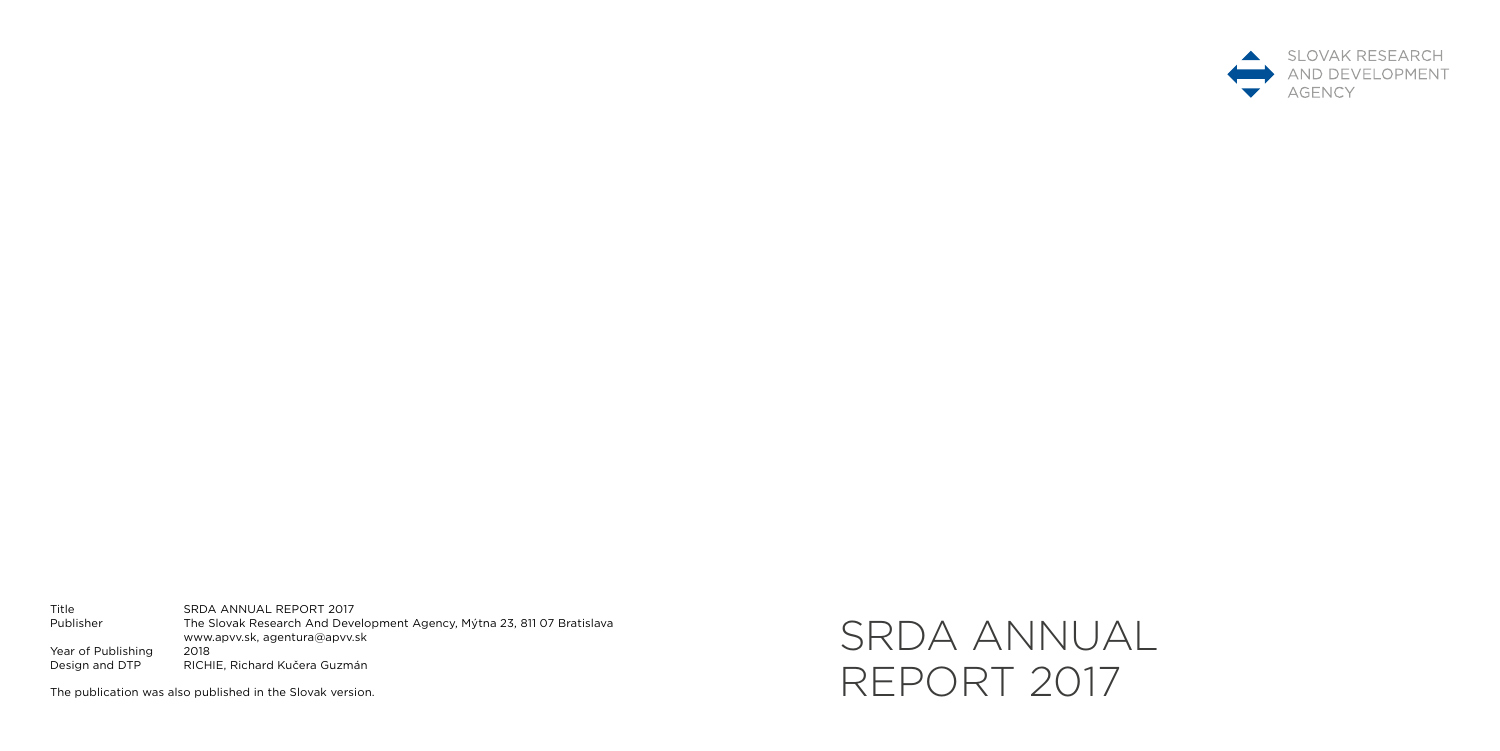# SRDA ANNUAL REPORT 2017



Title SRDA ANNUAL REPORT 2017<br>Publisher The Slovak Research And Deve The Slovak Research And Development Agency, Mýtna 23, 811 07 Bratislava www.apvv.sk, agentura@apvv.sk Year of Publishing 2018<br>Design and DTP RICH RICHIE, Richard Kučera Guzmán

The publication was also published in the Slovak version.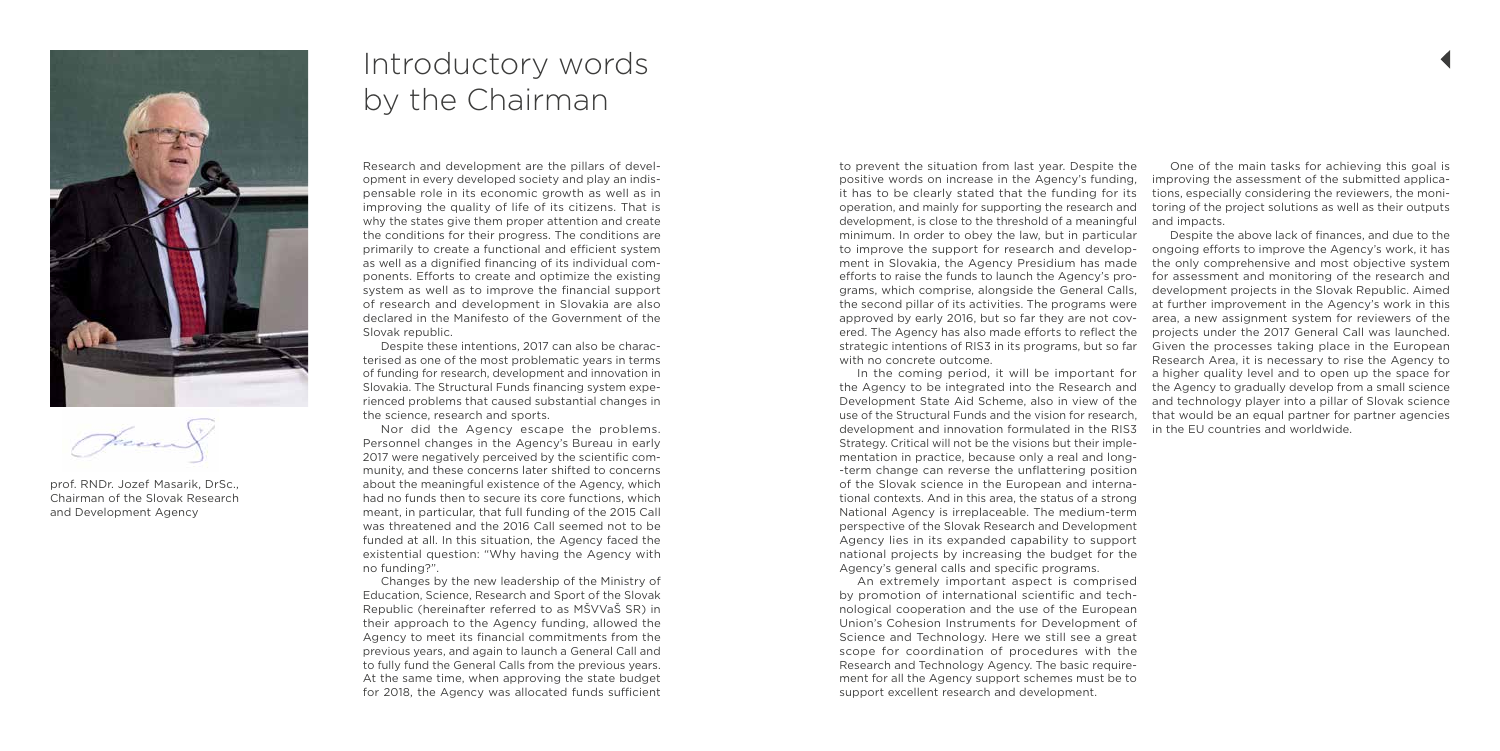# Introductory words by the Chairman

Research and development are the pillars of development in every developed society and play an indispensable role in its economic growth as well as in improving the quality of life of its citizens. That is why the states give them proper attention and create the conditions for their progress. The conditions are primarily to create a functional and efficient system as well as a dignified financing of its individual components. Efforts to create and optimize the existing system as well as to improve the financial support of research and development in Slovakia are also declared in the Manifesto of the Government of the Slovak republic.

Despite these intentions, 2017 can also be characterised as one of the most problematic years in terms of funding for research, development and innovation in Slovakia. The Structural Funds financing system experienced problems that caused substantial changes in the science, research and sports.

Nor did the Agency escape the problems. Personnel changes in the Agency's Bureau in early 2017 were negatively perceived by the scientific community, and these concerns later shifted to concerns about the meaningful existence of the Agency, which had no funds then to secure its core functions, which meant, in particular, that full funding of the 2015 Call was threatened and the 2016 Call seemed not to be funded at all. In this situation, the Agency faced the existential question: "Why having the Agency with no funding?".

Changes by the new leadership of the Ministry of Education, Science, Research and Sport of the Slovak Republic (hereinafter referred to as MŠVVaŠ SR) in their approach to the Agency funding, allowed the Agency to meet its financial commitments from the previous years, and again to launch a General Call and to fully fund the General Calls from the previous years. At the same time, when approving the state budget for 2018, the Agency was allocated funds sufficient



prof. RNDr. Jozef Masarik, DrSc., Chairman of the Slovak Research and Development Agency

Strategy. Critical will not be the visions but their implementation in practice, because only a real and long term change can reverse the unflattering position of the Slovak science in the European and international contexts. And in this area, the status of a strong National Agency is irreplaceable. The medium-term perspective of the Slovak Research and Development Agency lies in its expanded capability to support national projects by increasing the budget for the Agency's general calls and specific programs.

to prevent the situation from last year. Despite the positive words on increase in the Agency's funding, it has to be clearly stated that the funding for its operation, and mainly for supporting the research and development, is close to the threshold of a meaningful minimum. In order to obey the law, but in particular to improve the support for research and development in Slovakia, the Agency Presidium has made efforts to raise the funds to launch the Agency's programs, which comprise, alongside the General Calls, the second pillar of its activities. The programs were approved by early 2016, but so far they are not covered. The Agency has also made efforts to reflect the strategic intentions of RIS3 in its programs, but so far with no concrete outcome. In the coming period, it will be important for the Agency to be integrated into the Research and Development State Aid Scheme, also in view of the use of the Structural Funds and the vision for research, development and innovation formulated in the RIS3 One of the main tasks for achieving this goal is improving the assessment of the submitted applications, especially considering the reviewers, the monitoring of the project solutions as well as their outputs and impacts. Despite the above lack of finances, and due to the ongoing efforts to improve the Agency's work, it has the only comprehensive and most objective system for assessment and monitoring of the research and development projects in the Slovak Republic. Aimed at further improvement in the Agency's work in this area, a new assignment system for reviewers of the projects under the 2017 General Call was launched. Given the processes taking place in the European Research Area, it is necessary to rise the Agency to a higher quality level and to open up the space for the Agency to gradually develop from a small science and technology player into a pillar of Slovak science that would be an equal partner for partner agencies in the EU countries and worldwide.

An extremely important aspect is comprised by promotion of international scientific and technological cooperation and the use of the European Union's Cohesion Instruments for Development of Science and Technology. Here we still see a great scope for coordination of procedures with the Research and Technology Agency. The basic requirement for all the Agency support schemes must be to support excellent research and development.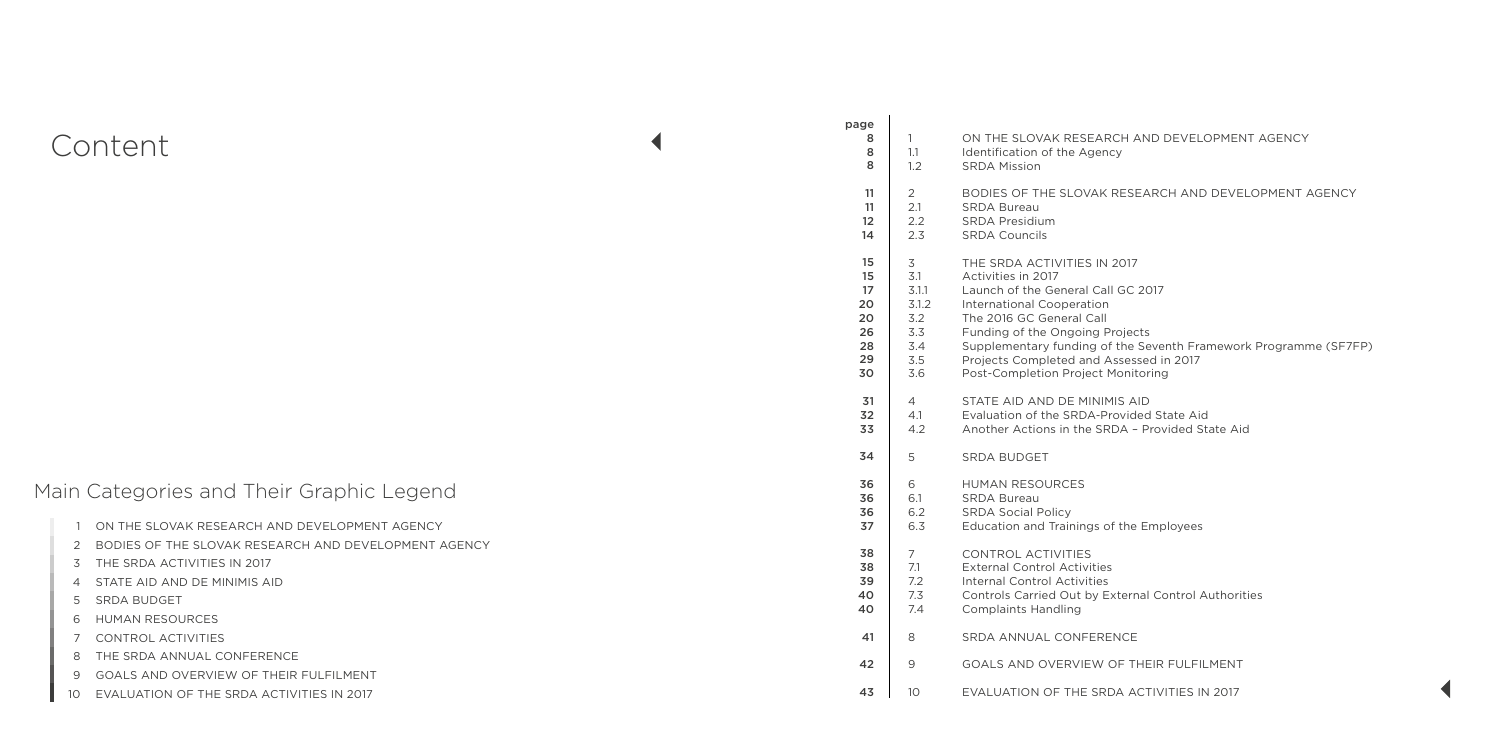| page<br>8<br>8<br>8 | 1<br>1.1<br>1.2 | ON THE SLOVAK RESEARCH AN<br>Identification of the Agency<br><b>SRDA Mission</b> |
|---------------------|-----------------|----------------------------------------------------------------------------------|
| 11                  | $\overline{2}$  | BODIES OF THE SLOVAK RESEA                                                       |
| 11                  | 2.1             | <b>SRDA Bureau</b>                                                               |
| 12                  | 2.2             | <b>SRDA Presidium</b>                                                            |
| 14                  | 2.3             | <b>SRDA Councils</b>                                                             |
| 15                  | 3               | THE SRDA ACTIVITIES IN 2017                                                      |
| 15                  | 3.1             | Activities in 2017                                                               |
| 17                  | 3.1.1           | Launch of the General Call GC 20                                                 |
| 20                  | 3.1.2           | <b>International Cooperation</b>                                                 |
| 20                  | 3.2             | The 2016 GC General Call                                                         |
| 26                  | 3.3             | Funding of the Ongoing Projects                                                  |
| 28                  | 3.4             | Supplementary funding of the Se                                                  |
| 29                  | 3.5             | Projects Completed and Assesse                                                   |
| 30                  | 3.6             | Post-Completion Project Monitor                                                  |
| 31                  | $\overline{4}$  | STATE AID AND DE MINIMIS AID                                                     |
| 32                  | 4.1             | Evaluation of the SRDA-Provided                                                  |
| 33                  | 4.2             | Another Actions in the SRDA - P                                                  |
| 34                  | 5               | <b>SRDA BUDGET</b>                                                               |
| 36                  | 6               | <b>HUMAN RESOURCES</b>                                                           |
| 36                  | 6.1             | <b>SRDA Bureau</b>                                                               |
| 36                  | 6.2             | <b>SRDA Social Policy</b>                                                        |
| 37                  | 6.3             | Education and Trainings of the E                                                 |
| 38                  | 7               | <b>CONTROL ACTIVITIES</b>                                                        |
| 38                  | 7.1             | <b>External Control Activities</b>                                               |
| 39                  | 7.2             | <b>Internal Control Activities</b>                                               |
| 40                  | 7.3             | Controls Carried Out by External                                                 |
| 40                  | 7.4             | <b>Complaints Handling</b>                                                       |
| 41                  | 8               | SRDA ANNUAL CONFERENCE                                                           |
| 42                  | 9               | GOALS AND OVERVIEW OF THE                                                        |
| 43                  | 10              | EVALUATION OF THE SRDA ACT                                                       |

 $\sim$  1

#### I AND DEVELOPMENT AGENCY

**EARCH AND DEVELOPMENT AGENCY** 

3.5 Seventh Framework Programme (SF7FP) ssed in 2017 nitoring

ided State Aid 1.2 Anovided State Aid

ne Employees

rnal Control Authorities

THEIR FULFILMENT

ACTIVITIES IN 2017

## Content

## Main Categories and Their Graphic Legend

|                                                        | 36  | 6.2 | SRDA Social Po          |
|--------------------------------------------------------|-----|-----|-------------------------|
| 1 ON THE SLOVAK RESEARCH AND DEVELOPMENT AGENCY        | 37  | 6.3 | Education and 1         |
| 2 BODIES OF THE SLOVAK RESEARCH AND DEVELOPMENT AGENCY | 38  |     | <b>CONTROL ACTI</b>     |
| 3 THE SRDA ACTIVITIES IN 2017                          | 38  | 7.1 | <b>External Contro</b>  |
| 4 STATE AID AND DE MINIMIS AID                         | 39  | 7.2 | Internal Control        |
| 5 SRDA BUDGET                                          | 40  | 7.3 | <b>Controls Carried</b> |
| 6 HUMAN RESOURCES                                      | 40  | 7.4 | <b>Complaints Han</b>   |
| 7 CONTROL ACTIVITIES                                   | -41 | 8   | <b>SRDA ANNUAL</b>      |
| 8 THE SRDA ANNUAL CONFERENCE                           | 42  | 9   | <b>GOALS AND OV</b>     |
| 9 GOALS AND OVERVIEW OF THEIR FULFILMENT               |     |     |                         |
| 10 EVALUATION OF THE SRDA ACTIVITIES IN 2017           | 43  | 10  | EVALUATION O            |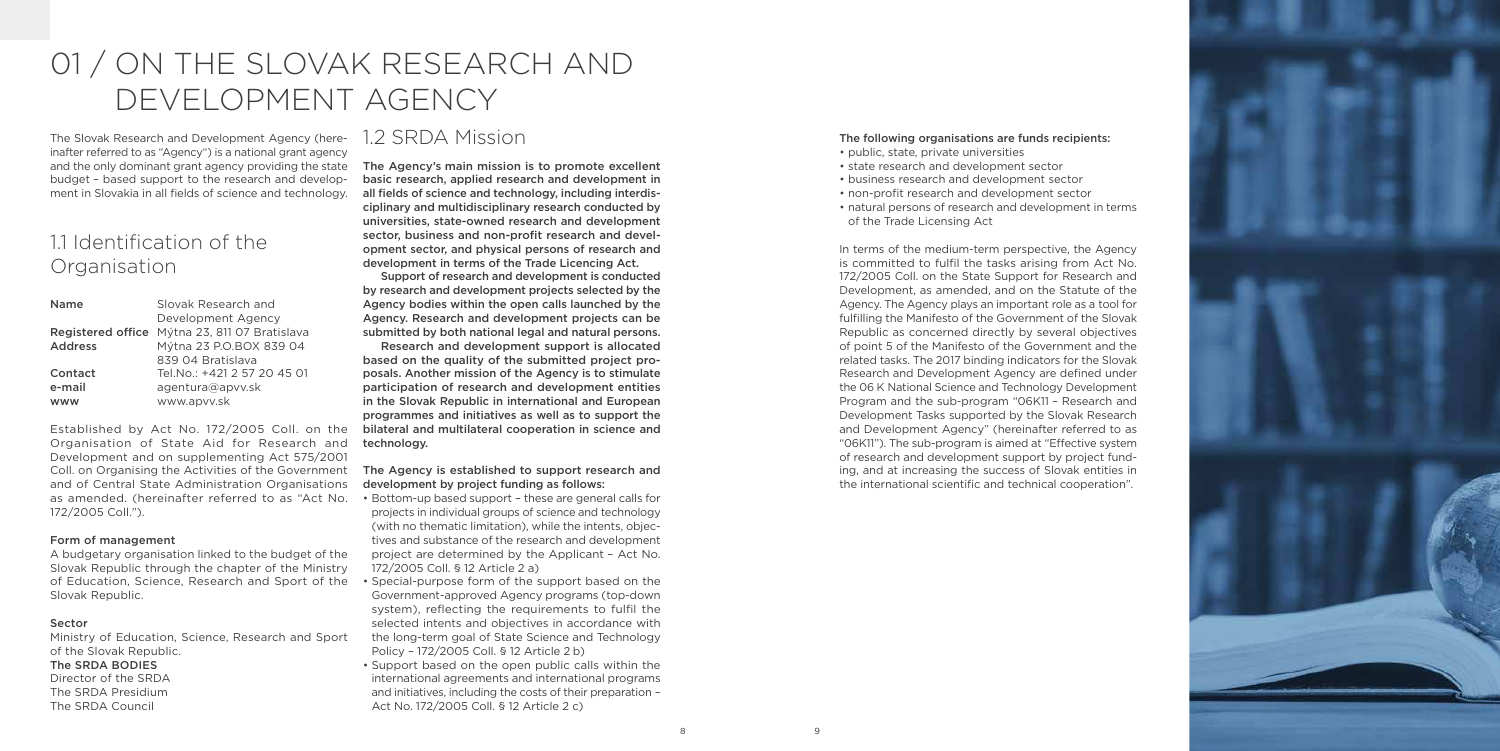

The Slovak Research and Development Agency (hereinafter referred to as "Agency") is a national grant agency and the only dominant grant agency providing the state budget – based support to the research and development in Slovakia in all fields of science and technology.

## 11 Identification of the Organisation

Established by Act No. 172/2005 Coll. on the bilateral and multilateral cooperation in science and Organisation of State Aid for Research and Development and on supplementing Act 575/2001 and of Central State Administration Organisations as amended. (hereinafter referred to as "Act No. 172/2005 Coll.").

| <b>Name</b>    | Slovak Research and                           |  |
|----------------|-----------------------------------------------|--|
|                | Development Agency                            |  |
|                | Registered office Mýtna 23, 811 07 Bratislava |  |
| <b>Address</b> | Mýtna 23 P.O.BOX 839 04                       |  |
|                | 839 04 Bratislava                             |  |
| Contact        | Tel.No.: +421 2 57 20 45 01                   |  |
| e-mail         | agentura@apvv.sk                              |  |
| www            | www.apvv.sk                                   |  |

#### Form of management

A budgetary organisation linked to the budget of the Slovak Republic through the chapter of the Ministry of Education, Science, Research and Sport of the Slovak Republic.

#### Sector

Ministry of Education, Science, Research and Sport of the Slovak Republic.

#### The SRDA BODIES

Director of the SRDA The SRDA Presidium The SRDA Council

#### Coll. on Organising the Activities of the Government The Agency is established to support research and development by project funding as follows:

## 1.2 SRDA Mission

The Agency's main mission is to promote excellent basic research, applied research and development in all fields of science and technology, including interdisciplinary and multidisciplinary research conducted by universities, state‑owned research and development sector, business and non-profit research and development sector, and physical persons of research and development in terms of the Trade Licencing Act.

Support of research and development is conducted by research and development projects selected by the Agency bodies within the open calls launched by the Agency. Research and development projects can be submitted by both national legal and natural persons.

Research and development support is allocated based on the quality of the submitted project proposals. Another mission of the Agency is to stimulate participation of research and development entities in the Slovak Republic in international and European programmes and initiatives as well as to support the technology.

In terms of the medium-term perspective, the Agency is committed to fulfil the tasks arising from Act No. 172/2005 Coll. on the State Support for Research and Development, as amended, and on the Statute of the Agency. The Agency plays an important role as a tool for fulfilling the Manifesto of the Government of the Slovak Republic as concerned directly by several objectives of point 5 of the Manifesto of the Government and the related tasks. The 2017 binding indicators for the Slovak Research and Development Agency are defined under the 06 K National Science and Technology Development Program and the sub‑program "06K11 – Research and Development Tasks supported by the Slovak Research and Development Agency" (hereinafter referred to as "06K11"). The sub‑program is aimed at "Effective system of research and development support by project funding, and at increasing the success of Slovak entities in the international scientific and technical cooperation".

- Bottom‑up based support these are general calls for projects in individual groups of science and technology (with no thematic limitation), while the intents, objectives and substance of the research and development project are determined by the Applicant – Act No. 172/2005 Coll. § 12 Article 2 a)
- Special-purpose form of the support based on the Government‑approved Agency programs (top‑down system), reflecting the requirements to fulfil the selected intents and objectives in accordance with the long‑term goal of State Science and Technology Policy – 172/2005 Coll. § 12 Article 2 b)
- Support based on the open public calls within the international agreements and international programs and initiatives, including the costs of their preparation – Act No. 172/2005 Coll. § 12 Article 2 c)

# 01 / ON THE SLOVAK RESEARCH AND DEVELOPMENT AGENCY

#### The following organisations are funds recipients:

- public, state, private universities
- state research and development sector
- business research and development sector
- non‑profit research and development sector
- natural persons of research and development in terms of the Trade Licensing Act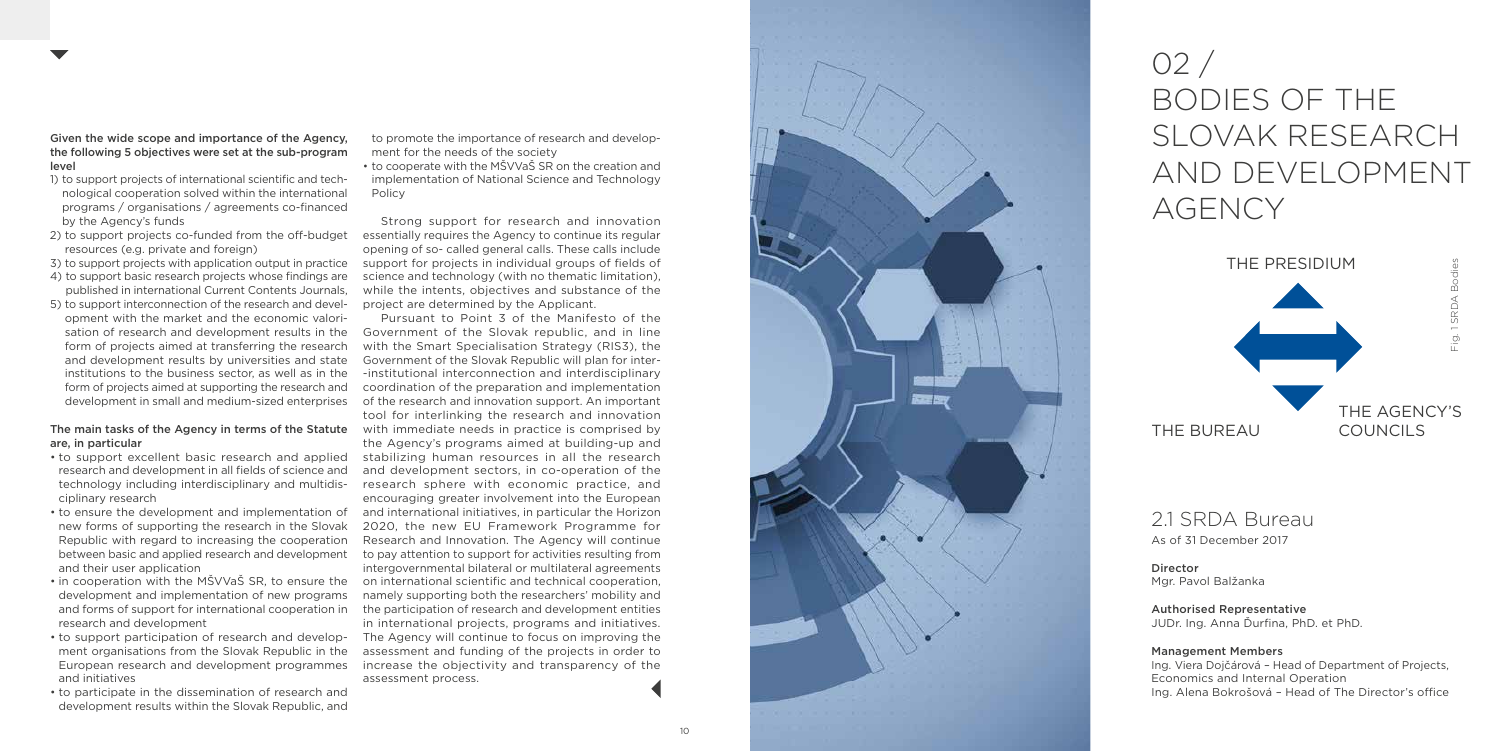

Given the wide scope and importance of the Agency, the following 5 objectives were set at the sub-program level

- 1) to support projects of international scientific and tech nological cooperation solved within the international programs / organisations / agreements co‑financed by the Agency's funds
- 2) to support projects co-funded from the off-budget resources (e.g. private and foreign)
- 3) to support projects with application output in practice
- 4) to support basic research projects whose findings are published in international Current Contents Journals,
- 5) to support interconnection of the research and devel opment with the market and the economic valori sation of research and development results in the form of projects aimed at transferring the research and development results by universities and state institutions to the business sector, as well as in the form of projects aimed at supporting the research and development in small and medium‑sized enterprises

#### The main tasks of the Agency in terms of the Statute are, in particular

- research and development in all fields of science and technology including interdisciplinary and multidis ciplinary research
- to ensure the development and implementation of new forms of supporting the research in the Slovak Republic with regard to increasing the cooperation between basic and applied research and development and their user application
- in cooperation with the MŠVVaŠ SR, to ensure the development and implementation of new programs and forms of support for international cooperation in research and development
- to support participation of research and develop ment organisations from the Slovak Republic in the European research and development programmes and initiatives
- to participate in the dissemination of research and development results within the Slovak Republic, and

• to support excellent basic research and applied stabilizing human resources in all the research Pursuant to Point 3 of the Manifesto of the Government of the Slovak republic, and in line with the Smart Specialisation Strategy (RIS3), the Government of the Slovak Republic will plan for inter institutional interconnection and interdisciplinary coordination of the preparation and implementation of the research and innovation support. An important tool for interlinking the research and innovation with immediate needs in practice is comprised by the Agency's programs aimed at building‑up and and development sectors, in co‑operation of the research sphere with economic practice, and encouraging greater involvement into the European and international initiatives, in particular the Horizon 2020, the new EU Framework Programme for Research and Innovation. The Agency will continue to pay attention to support for activities resulting from intergovernmental bilateral or multilateral agreements on international scientific and technical cooperation, namely supporting both the researchers' mobility and the participation of research and development entities in international projects, programs and initiatives. The Agency will continue to focus on improving the assessment and funding of the projects in order to increase the objectivity and transparency of the assessment process.

to promote the importance of research and develop ment for the needs of the society

• to cooperate with the MŠVVaŠ SR on the creation and implementation of National Science and Technology Policy

Strong support for research and innovation essentially requires the Agency to continue its regular opening of so - called general calls. These calls include support for projects in individual groups of fields of science and technology (with no thematic limitation), while the intents, objectives and substance of the project are determined by the Applicant.





## 21 SRDA Bureau

As of 31 December 2017

#### Director Mgr. Pavol Balžanka

Authorised Representative JUDr. Ing. Anna Ďurfina, PhD. et PhD.

#### Management Members

Ing. Viera Dojčárová – Head of Department of Projects, Economics and Internal Operation Ing. Alena Bokrošová – Head of The Director's office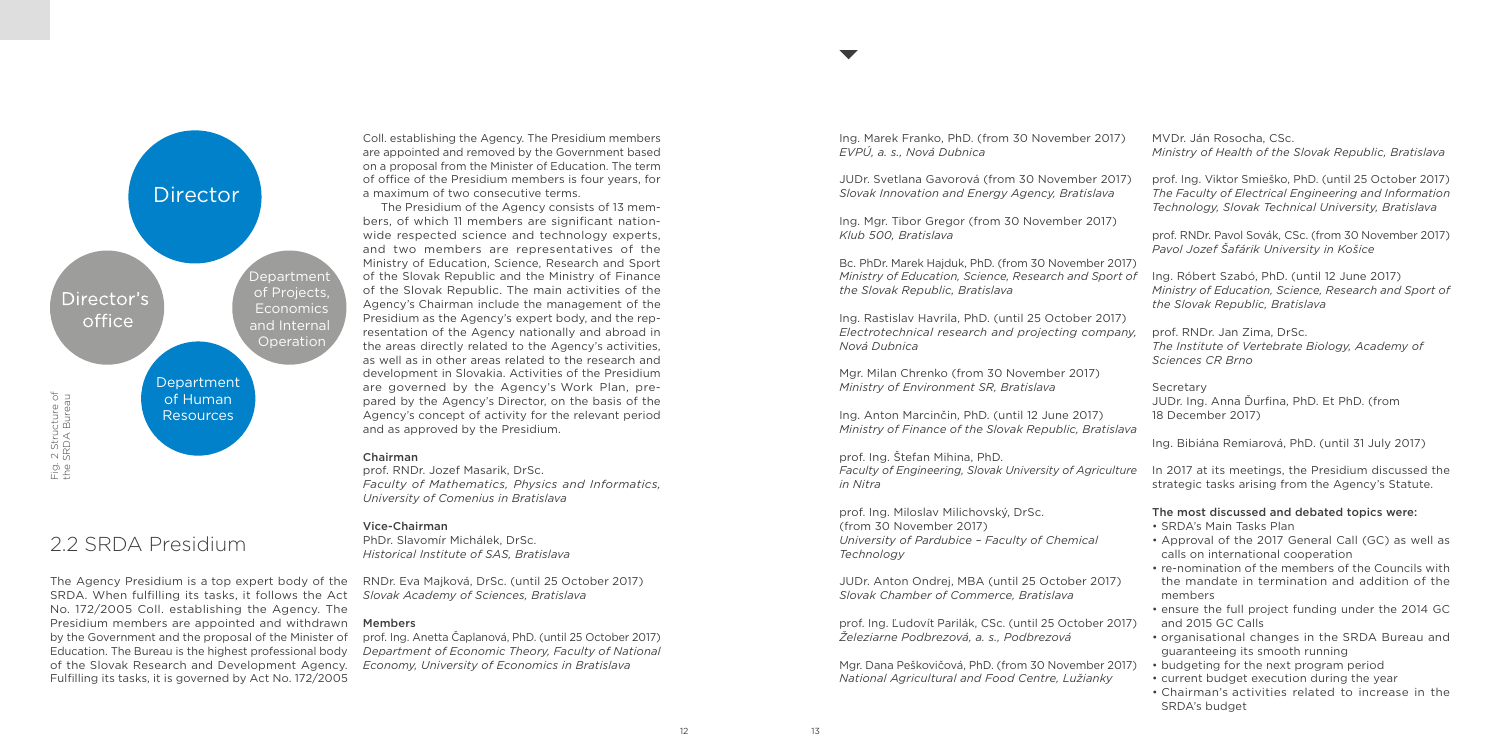## 2.2 SRDA Presidium

The Agency Presidium is a top expert body of the SRDA. When fulfilling its tasks, it follows the Act *Slovak Academy of Sciences, Bratislava* No. 172/2005 Coll. establishing the Agency. The Presidium members are appointed and withdrawn Members by the Government and the proposal of the Minister of Education. The Bureau is the highest professional body of the Slovak Research and Development Agency. Fulfilling its tasks, it is governed by Act No. 172/2005

Coll. establishing the Agency. The Presidium members are appointed and removed by the Government based on a proposal from the Minister of Education. The term of office of the Presidium members is four years, for a maximum of two consecutive terms.

The Presidium of the Agency consists of 13 members, of which 11 members are significant nationwide respected science and technology experts, and two members are representatives of the Ministry of Education, Science, Research and Sport of the Slovak Republic and the Ministry of Finance of the Slovak Republic. The main activities of the Agency's Chairman include the management of the Presidium as the Agency's expert body, and the representation of the Agency nationally and abroad in the areas directly related to the Agency's activities, as well as in other areas related to the research and development in Slovakia. Activities of the Presidium are governed by the Agency's Work Plan, prepared by the Agency's Director, on the basis of the Agency's concept of activity for the relevant period and as approved by the Presidium.

#### Chairman

prof. RNDr. Jozef Masarik, DrSc. *Faculty of Mathematics, Physics and Informatics, University of Comenius in Bratislava*

#### Vice‑Chairman

PhDr. Slavomír Michálek, DrSc. *Historical Institute of SAS, Bratislava*

RNDr. Eva Majková, DrSc. (until 25 October 2017)

prof. Ing. Anetta Čaplanová, PhD. (until 25 October 2017) *Department of Economic Theory, Faculty of National Economy, University of Economics in Bratislava*

Ing. Marek Franko, PhD. (from 30 November 2017) *EVPÚ, a. s., Nová Dubnica*

JUDr. Svetlana Gavorová (from 30 November 2017) *Slovak Innovation and Energy Agency, Bratislava*

Ing. Mgr. Tibor Gregor (from 30 November 2017) *Klub 500, Bratislava*

Bc. PhDr. Marek Hajduk, PhD. (from 30 November 2017) *Ministry of Education, Science, Research and Sport of the Slovak Republic, Bratislava*

Ing. Rastislav Havrila, PhD. (until 25 October 2017) *Electrotechnical research and projecting company, Nová Dubnica*

Mgr. Milan Chrenko (from 30 November 2017) *Ministry of Environment SR, Bratislava*

Ing. Anton Marcinčin, PhD. (until 12 June 2017) *Ministry of Finance of the Slovak Republic, Bratislava*

prof. Ing. Štefan Mihina, PhD. *in Nitra*

prof. Ing. Miloslav Milichovský, DrSc. (from 30 November 2017) *University of Pardubice – Faculty of Chemical Technology*

JUDr. Anton Ondrej, MBA (until 25 October 2017) *Slovak Chamber of Commerce, Bratislava*

prof. Ing. Ľudovít Parilák, CSc. (until 25 October 2017) *Železiarne Podbrezová, a. s., Podbrezová*

Mgr. Dana Peškovičová, PhD. (from 30 November 2017) *National Agricultural and Food Centre, Lužianky*

MVDr. Ján Rosocha, CSc. *Ministry of Health of the Slovak Republic, Bratislava*

*Faculty of Engineering, Slovak University of Agriculture*  In 2017 at its meetings, the Presidium discussed the strategic tasks arising from the Agency's Statute.

prof. Ing. Viktor Smieško, PhD. (until 25 October 2017) *The Faculty of Electrical Engineering and Information Technology, Slovak Technical University, Bratislava*

prof. RNDr. Pavol Sovák, CSc. (from 30 November 2017) *Pavol Jozef Šafárik University in Košice*

- 
- Ing. Róbert Szabó, PhD. (until 12 June 2017) *Ministry of Education, Science, Research and Sport of the Slovak Republic, Bratislava*
- prof. RNDr. Jan Zima, DrSc. *The Institute of Vertebrate Biology, Academy of Sciences CR Brno*

Secretary JUDr. Ing. Anna Ďurfina, PhD. Et PhD. (from 18 December 2017)

Ing. Bibiána Remiarová, PhD. (until 31 July 2017)

#### The most discussed and debated topics were:

- SRDA's Main Tasks Plan
- Approval of the 2017 General Call (GC) as well as calls on international cooperation
- re-nomination of the members of the Councils with the mandate in termination and addition of the members
- ensure the full project funding under the 2014 GC and 2015 GC Calls
- organisational changes in the SRDA Bureau and guaranteeing its smooth running
- budgeting for the next program period
- current budget execution during the year
- Chairman's activities related to increase in the SRDA's budget

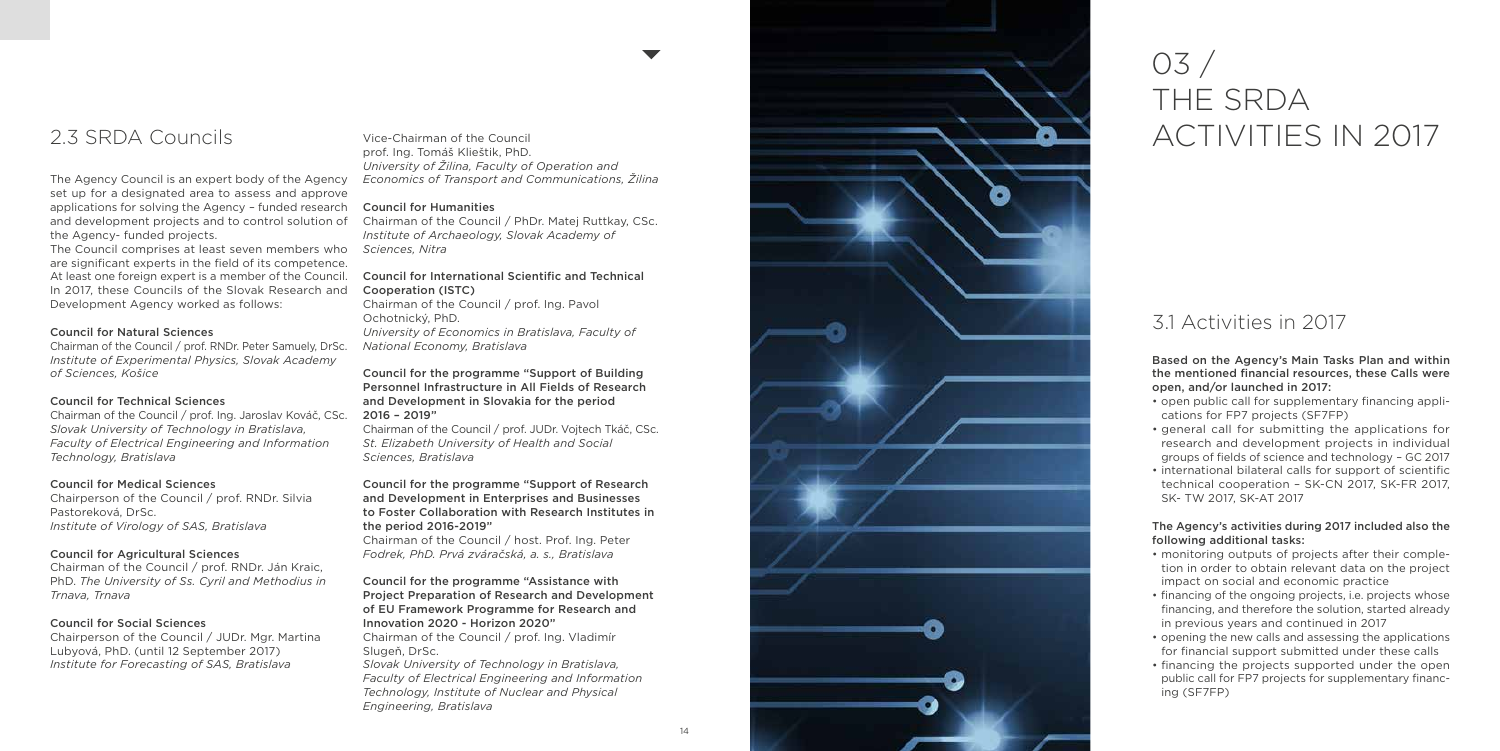

## 2.3 SRDA Councils

The Agency Council is an expert body of the Agency set up for a designated area to assess and approve applications for solving the Agency – funded research the Agency - funded projects.

The Council comprises at least seven members who *Sciences, Nitra* are significant experts in the field of its competence. At least one foreign expert is a member of the Council. In 2017, these Councils of the Slovak Research and Development Agency worked as follows:

#### Council for Natural Sciences

Chairman of the Council / prof. RNDr. Peter Samuely, DrSc. *Institute of Experimental Physics, Slovak Academy of Sciences, Košice*

#### Council for Technical Sciences

Chairman of the Council / prof. Ing. Jaroslav Kováč, CSc. *Slovak University of Technology in Bratislava, Faculty of Electrical Engineering and Information Technology, Bratislava*

and development projects and to control solution of Chairman of the Council / PhDr. Matej Ruttkay, CSc. *Institute of Archaeology, Slovak Academy of* 

#### Council for Medical Sciences

Chairperson of the Council / prof. RNDr. Silvia Pastoreková, DrSc. *Institute of Virology of SAS, Bratislava*

#### Council for Agricultural Sciences

Chairman of the Council / prof. RNDr. Ján Kraic, PhD. *The University of Ss. Cyril and Methodius in Trnava, Trnava*

#### Council for Social Sciences

#### Council for the programme "Assistance with Project Preparation of Research and Development of EU Framework Programme for Research and Innovation 2020 - Horizon 2020"

Chairperson of the Council / JUDr. Mgr. Martina Lubyová, PhD. (until 12 September 2017) *Institute for Forecasting of SAS, Bratislava*

Vice‑Chairman of the Council prof. Ing. Tomáš Klieštik, PhD. *University of Žilina, Faculty of Operation and Economics of Transport and Communications, Žilina*

#### Council for Humanities

#### Council for International Scientific and Technical Cooperation (ISTC)

Chairman of the Council / prof. Ing. Pavol Ochotnický, PhD. *University of Economics in Bratislava, Faculty of National Economy, Bratislava*

#### Council for the programme "Support of Building Personnel Infrastructure in All Fields of Research and Development in Slovakia for the period 2016 – 2019"

Chairman of the Council / prof. JUDr. Vojtech Tkáč, CSc. *St. Elizabeth University of Health and Social Sciences, Bratislava*

#### Council for the programme "Support of Research and Development in Enterprises and Businesses to Foster Collaboration with Research Institutes in the period 2016 -2019"

Chairman of the Council / host. Prof. Ing. Peter *Fodrek, PhD. Prvá zváračská, a. s., Bratislava*

Chairman of the Council / prof. Ing. Vladimír Slugeň, DrSc.

*Slovak University of Technology in Bratislava, Faculty of Electrical Engineering and Information Technology, Institute of Nuclear and Physical Engineering, Bratislava*

# 03 / THE SRDA ACTIVITIES IN 2017

## 3.1 Activities in 2017

Based on the Agency's Main Tasks Plan and within the mentioned financial resources, these Calls were open, and/or launched in 2017:

- open public call for supplementary financing appli cations for FP7 projects (SF7FP)
- general call for submitting the applications for research and development projects in individual groups of fields of science and technology – GC 2017
- international bilateral calls for support of scientific technical cooperation – SK -CN 2017, SK -FR 2017, SK - TW 2017, SK -AT 2017

#### The Agency's activities during 2017 included also the following additional tasks:

- monitoring outputs of projects after their comple tion in order to obtain relevant data on the project impact on social and economic practice
- financing of the ongoing projects, i.e. projects whose financing, and therefore the solution, started already in previous years and continued in 2017
- opening the new calls and assessing the applications for financial support submitted under these calls
- financing the projects supported under the open public call for FP7 projects for supplementary financ ing (SF7FP)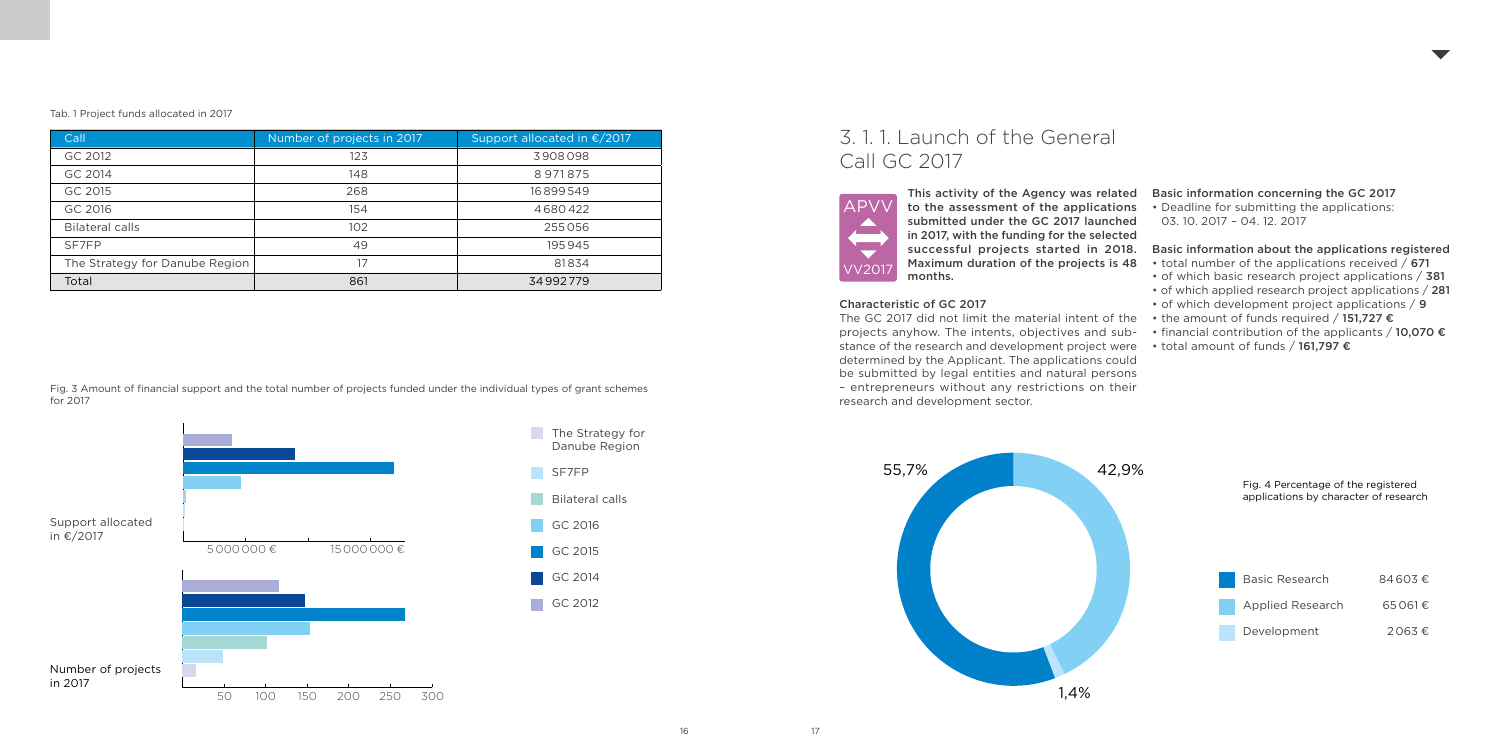| Call                           | Number of projects in 2017 | Support allocated in €/2017 |
|--------------------------------|----------------------------|-----------------------------|
| GC 2012                        | 123                        | 3908098                     |
| GC 2014                        | 148                        | 8971875                     |
| GC 2015                        | 268                        | 16899549                    |
| GC 2016                        | 154                        | 4680422                     |
| <b>Bilateral calls</b>         | 102                        | 255056                      |
| SF7FP                          | 49                         | 195945                      |
| The Strategy for Danube Region | 17                         | 81834                       |
| Total                          | 861                        | 34992779                    |

#### Tab. 1 Project funds allocated in 2017

## 3. 1. 1. Launch of the General Call GC 2017

This activity of the Agency was related to the assessment of the applications submitted under the GC 2017 launched in 2017, with the funding for the selected successful projects started in 2018. Maximum duration of the projects is 48 months.

The GC 2017 did not limit the material intent of the  $\;\;\cdot\;$  the amount of funds required / 151,727  $\bm{\epsilon}$ projects anyhow. The intents, objectives and substance of the research and development project were determined by the Applicant. The applications could be submitted by legal entities and natural persons – entrepreneurs without any restrictions on their research and development sector.

#### Characteristic of GC 2017

- total number of the applications received / 671
- of which basic research project applications / 381
- of which applied research project applications / 281
- of which development project applications / 9
- 
- financial contribution of the applicants  $/$  10,070  $\epsilon$
- total amount of funds / 161,797 €
- 
- 

#### Basic information concerning the GC 2017

- Deadline for submitting the applications:
- 03. 10. 2017 04. 12. 2017
- 

#### Basic information about the applications registered



Fig. 3 Amount of financial support and the total number of projects funded under the individual types of grant schemes for 2017

#### Fig. 4 Percentage of the registered applications by character of research

| <b>Basic Research</b> | $84603 \text{ } \in$ |
|-----------------------|----------------------|
| Applied Research      | $65061 \text{ } \in$ |
| Development           | $2063 \epsilon$      |



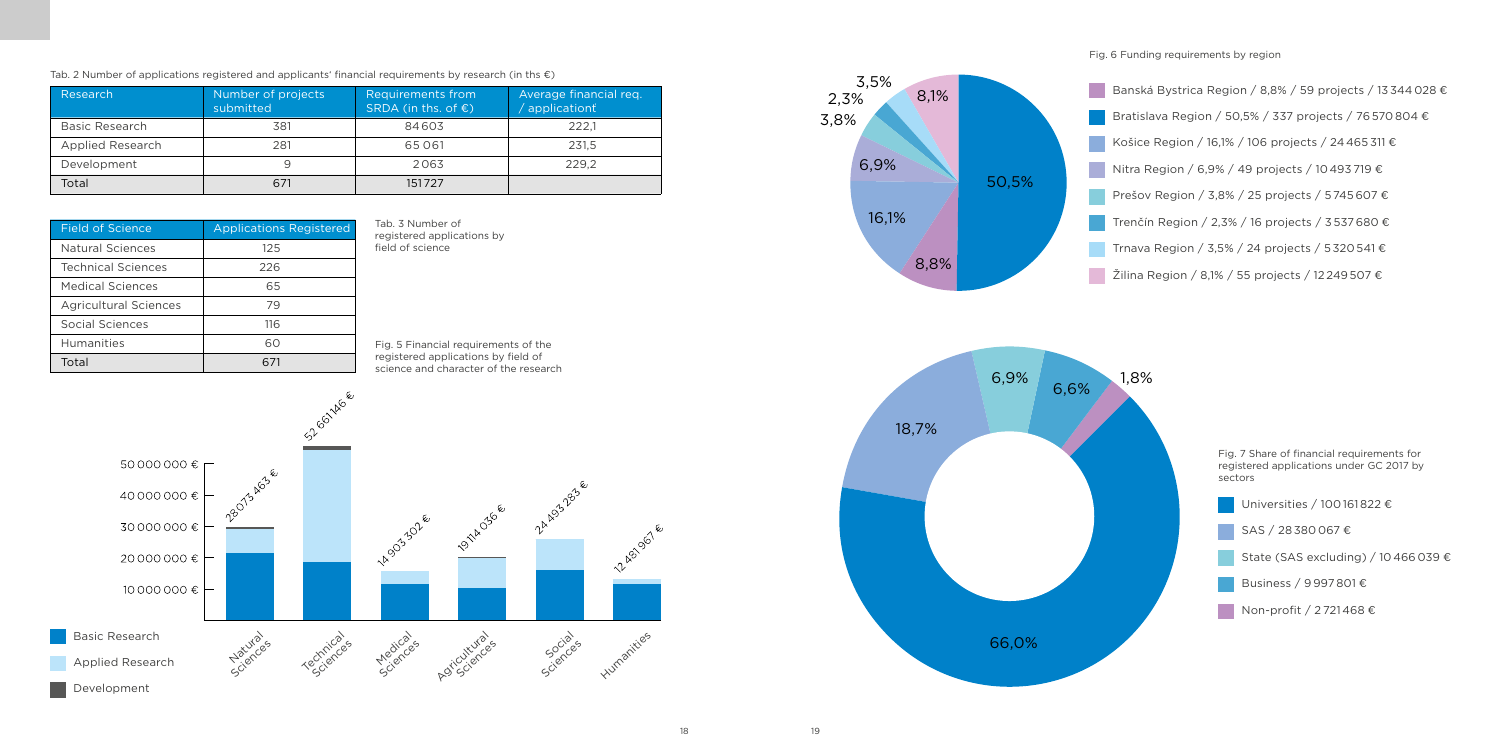| Research         | Number of projects<br>submitted | Requirements from<br>SRDA (in ths. of $\epsilon$ ) | Average financial reg.<br>applicationt |
|------------------|---------------------------------|----------------------------------------------------|----------------------------------------|
| Basic Research   | 381                             | 84603                                              | 222.1                                  |
| Applied Research | 281                             | 65061                                              | 231.5                                  |
| Development      |                                 | 2063                                               | 229.2                                  |
| Total            | 671                             | 151727                                             |                                        |

| <b>Field of Science</b>      | <b>Applications Registered</b> |
|------------------------------|--------------------------------|
| Natural Sciences             | 125                            |
| <b>Technical Sciences</b>    | 226                            |
| Medical Sciences             | 65                             |
| <b>Agricultural Sciences</b> | 79                             |
| Social Sciences              | 116                            |
| <b>Humanities</b>            | ഹ                              |
| Total                        |                                |

Tab. 3 Number of registered applications by field of science

Fig. 6 Funding requirements by region

Tab. 2 Number of applications registered and applicants' financial requirements by research (in ths  $\epsilon$ )

Banská Bystrica Region / 8,8% / 59 projects / 13 344 028  $\epsilon$ Bratislava Region / 50,5% / 337 projects / 76 570 804 € Košice Region / 16,1% / 106 projects / 24 465 311 € Nitra Region / 6,9% / 49 projects / 10 493 719 € Prešov Region / 3,8% / 25 projects / 5 745 607 € Trenčín Region / 2,3% / 16 projects / 3 537 680 € Trnava Region / 3,5% / 24 projects / 5 320 541 € Žilina Region / 8,1% / 55 projects / 12 249 507 €

Fig. 5 Financial requirements of the registered applications by field of science and character of the research





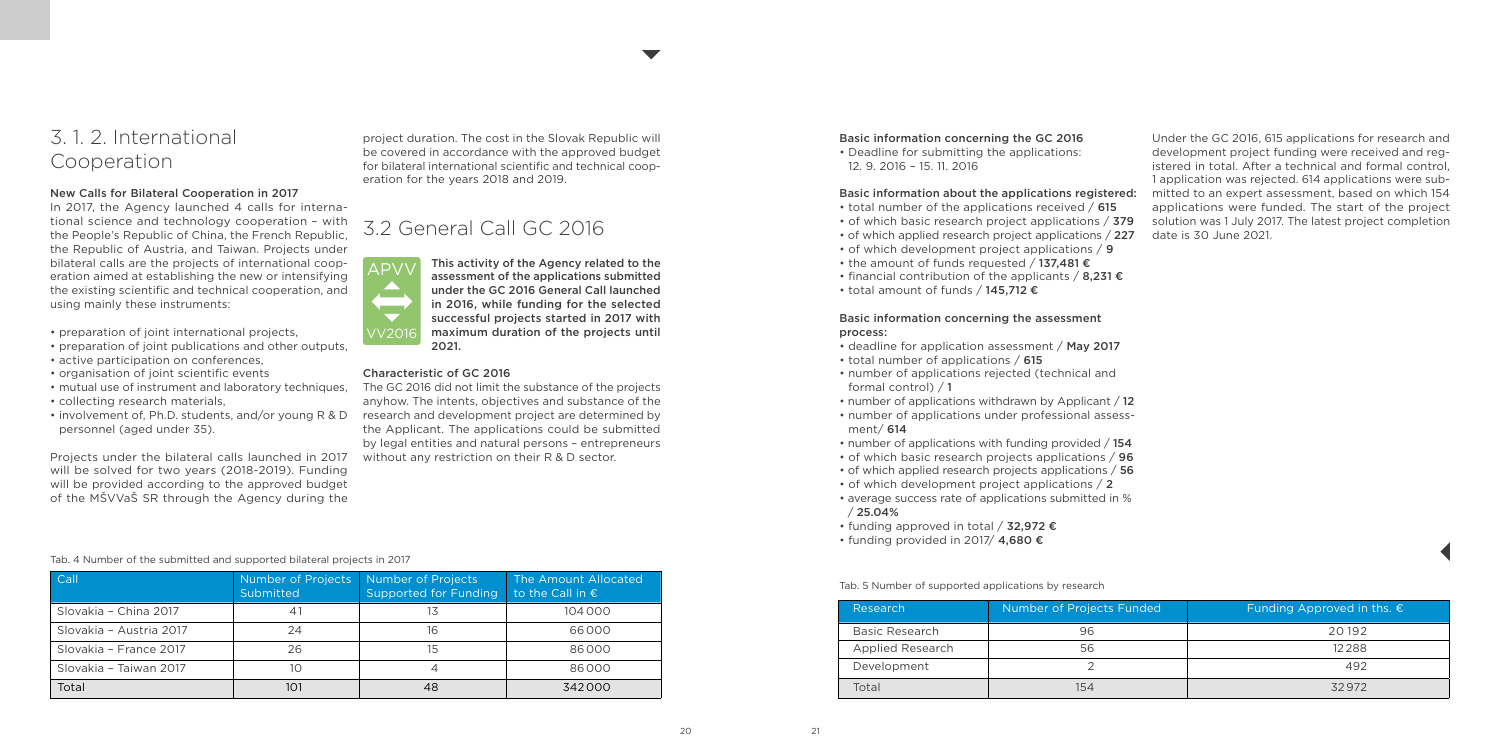## 3. 1. 2. International Cooperation

#### New Calls for Bilateral Cooperation in 2017

In 2017, the Agency launched 4 calls for international science and technology cooperation – with the People's Republic of China, the French Republic, the Republic of Austria, and Taiwan. Projects under bilateral calls are the projects of international cooperation aimed at establishing the new or intensifying the existing scientific and technical cooperation, and using mainly these instruments:

- preparation of joint international projects,
- preparation of joint publications and other outputs,
- active participation on conferences,
- organisation of joint scientific events
- mutual use of instrument and laboratory techniques,
- collecting research materials,
- personnel (aged under 35).

Projects under the bilateral calls launched in 2017 will be solved for two years (2018-2019). Funding will be provided according to the approved budget of the MŠVVaŠ SR through the Agency during the

#### Tab. 4 Number of the submitted and supported bilateral projects in 2017

| Call                    | Number of Projects<br>Submitted | Number of Projects<br>Supported for Funding | The Amount Allocated<br>to the Call in $\epsilon$ |
|-------------------------|---------------------------------|---------------------------------------------|---------------------------------------------------|
| Slovakia - China 2017   | 41                              | 13                                          | 104000                                            |
| Slovakia - Austria 2017 | 24                              | 16                                          | 66000                                             |
| Slovakia - France 2017  | 26                              | 15                                          | 86000                                             |
| Slovakia - Taiwan 2017  | 10                              | 4                                           | 86000                                             |
| Total                   | 101                             | 48                                          | 342000                                            |

- total number of the applications received / 615
- of which basic research project applications / 379
- of which applied research project applications / 227
- of which development project applications / 9
- the amount of funds requested / 137.481 €
- financial contribution of the applicants / 8.231  $\epsilon$
- total amount of funds / 145,712 €

project duration. The cost in the Slovak Republic will be covered in accordance with the approved budget for bilateral international scientific and technical cooperation for the years 2018 and 2019.

## 3.2 General Call GC 2016

This activity of the Agency related to the assessment of the applications submitted under the GC 2016 General Call launched in 2016, while funding for the selected successful projects started in 2017 with maximum duration of the projects until 2021.

#### Characteristic of GC 2016

• involvement of, Ph.D. students, and/or young R & D research and development project are determined by The GC 2016 did not limit the substance of the projects anyhow. The intents, objectives and substance of the the Applicant. The applications could be submitted by legal entities and natural persons – entrepreneurs without any restriction on their R & D sector.



#### Basic information concerning the GC 2016

• Deadline for submitting the applications: 12. 9. 2016 – 15. 11. 2016

#### Basic information about the applications registered:

#### Basic information concerning the assessment process:

- deadline for application assessment / May 2017
- total number of applications / 615
- number of applications rejected (technical and formal control) / 1
- number of applications withdrawn by Applicant / 12
- number of applications under professional assessment/ 614
- number of applications with funding provided / 154
- of which basic research projects applications / 96
- of which applied research projects applications / 56
- of which development project applications / 2
- average success rate of applications submitted in %  $/25.04%$
- funding approved in total / 32,972 €
- funding provided in 2017/ 4,680 €

Under the GC 2016, 615 applications for research and development project funding were received and registered in total. After a technical and formal control, 1 application was rejected. 614 applications were submitted to an expert assessment, based on which 154 applications were funded. The start of the project solution was 1 July 2017. The latest project completion date is 30 June 2021.

| Number of Projects Funded<br>Research |     | Funding Approved in ths. $\epsilon$ |
|---------------------------------------|-----|-------------------------------------|
| Basic Research                        | 96  | 20192                               |
| Applied Research                      | 56  | 12288                               |
| Development                           |     | 492                                 |
| Total                                 | 154 | 32972                               |

Tab. 5 Number of supported applications by research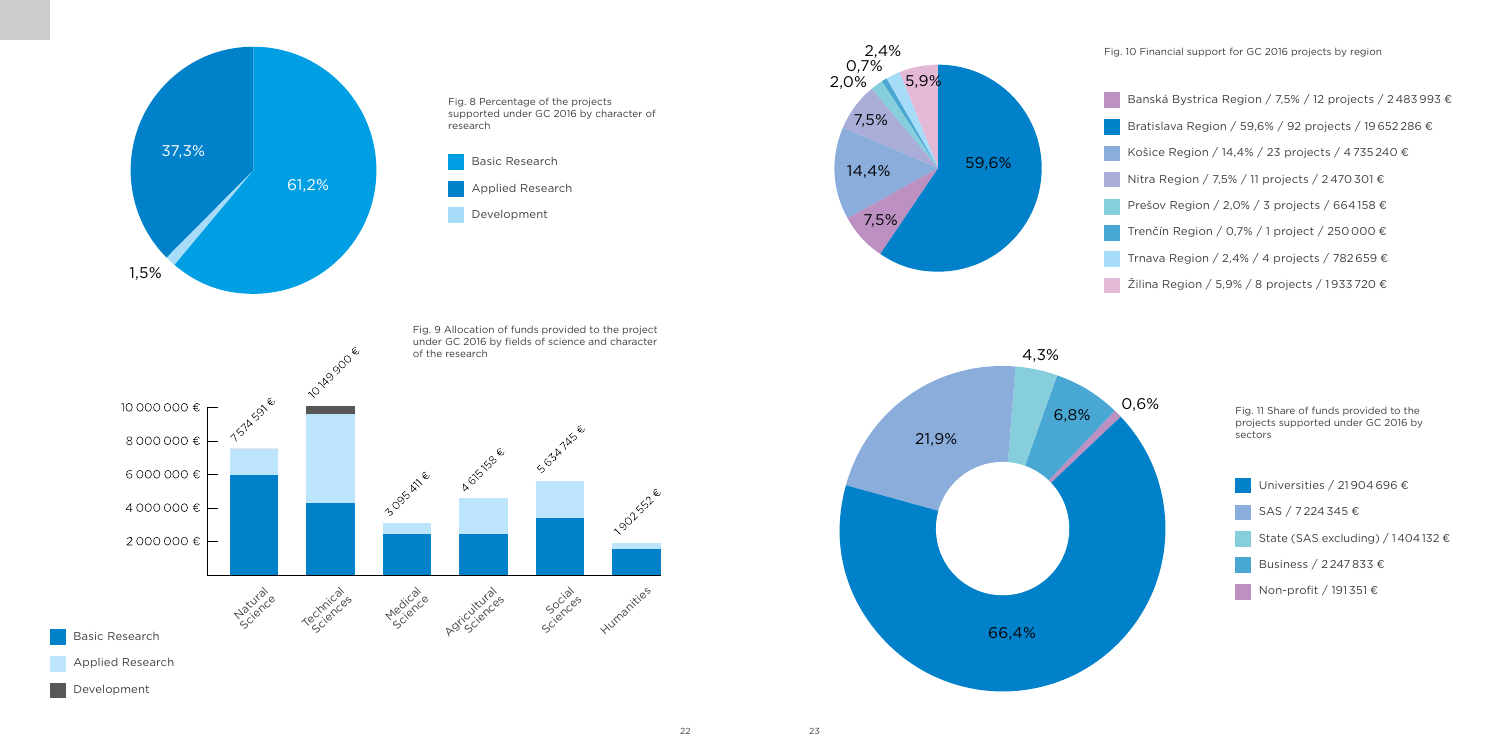22 23

- 
- 
- 
- 
- 
- 
- 
- 

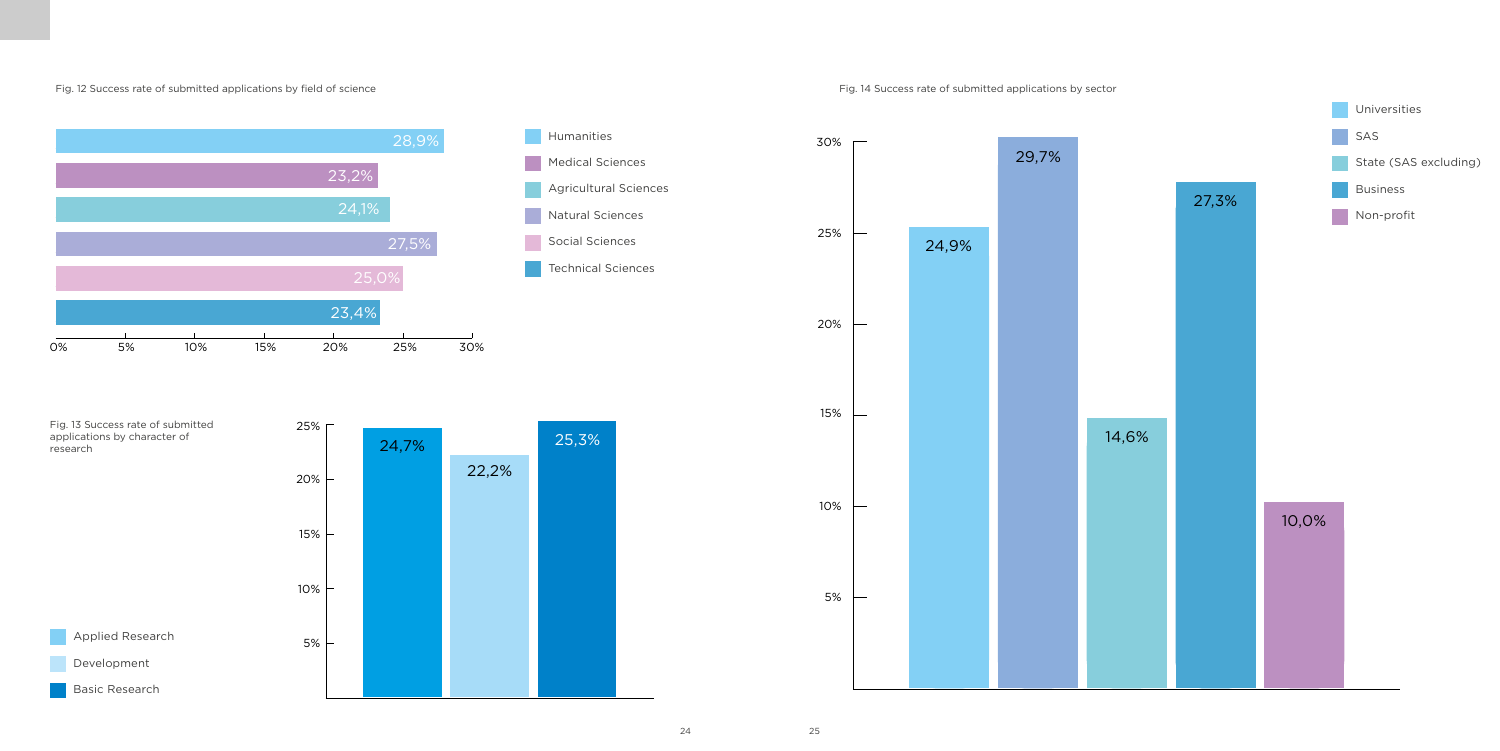#### Fig. 12 Success rate of submitted applications by field of science Fig. 14 Success rate of submitted applications by sector

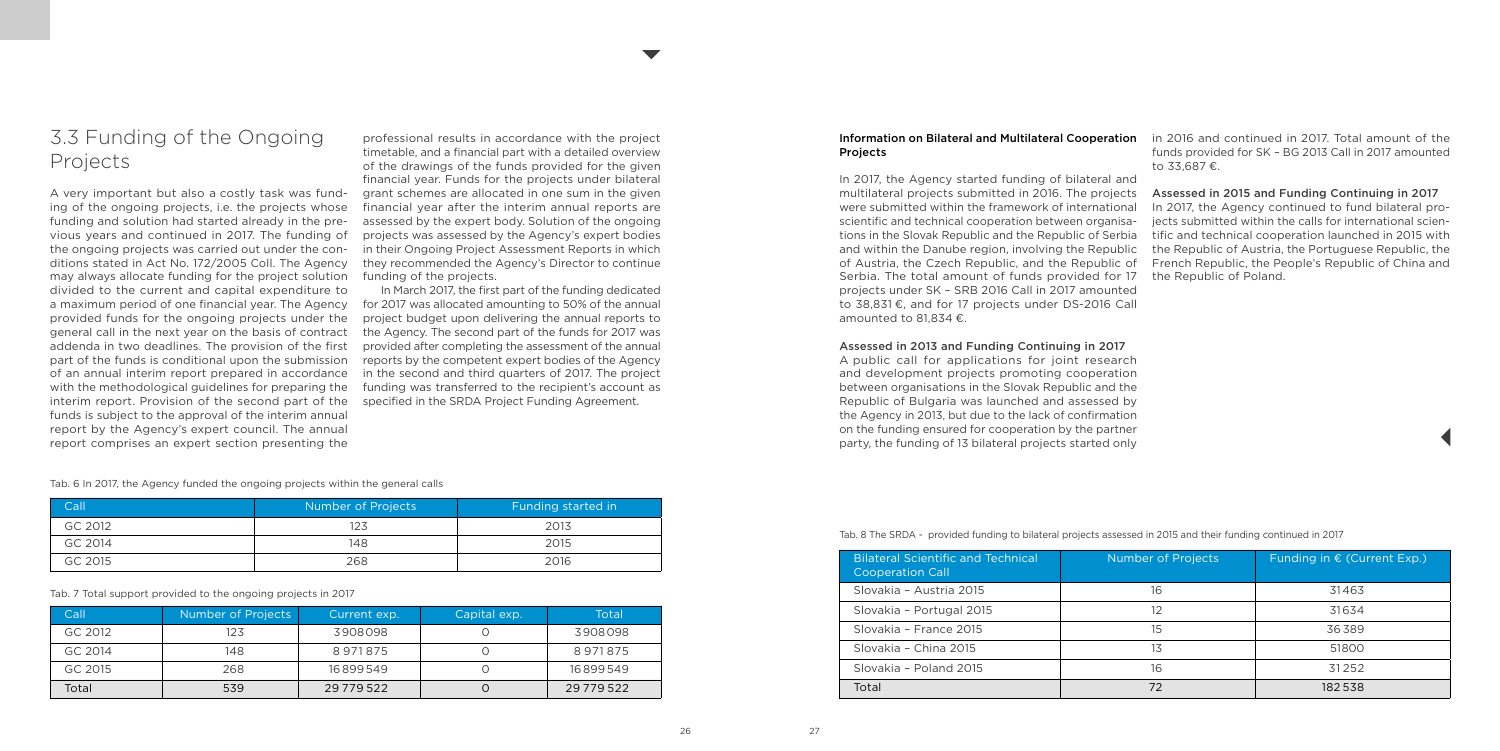## 3.3 Funding of the Ongoing Projects

A very important but also a costly task was funding of the ongoing projects, i.e. the projects whose funding and solution had started already in the previous years and continued in 2017. The funding of the ongoing projects was carried out under the conditions stated in Act No. 172/2005 Coll. The Agency may always allocate funding for the project solution divided to the current and capital expenditure to provided funds for the ongoing projects under the general call in the next year on the basis of contract addenda in two deadlines. The provision of the first part of the funds is conditional upon the submission of an annual interim report prepared in accordance with the methodological guidelines for preparing the interim report. Provision of the second part of the funds is subject to the approval of the interim annual report by the Agency's expert council. The annual report comprises an expert section presenting the

| Call    | Number of Projects | Funding started in |
|---------|--------------------|--------------------|
| GC 2012 | 123                | 2013               |
| GC 2014 | 148                | 2015               |
| GC 2015 | 268                | 2016               |

| Call    | Number of Projects | Current exp.   | Capital exp. | Total          |
|---------|--------------------|----------------|--------------|----------------|
| GC 2012 | 123                | 3908098        |              | 3908098        |
| GC 2014 | 148                | 8971875        |              | 8971875        |
| GC 2015 | 268                | 16899549       |              | 16899549       |
| Total   | 539                | 29 7 7 9 5 2 2 |              | 29 7 7 9 5 2 2 |

a maximum period of one financial year. The Agency for 2017 was allocated amounting to 50% of the annual In March 2017, the first part of the funding dedicated project budget upon delivering the annual reports to the Agency. The second part of the funds for 2017 was provided after completing the assessment of the annual reports by the competent expert bodies of the Agency in the second and third quarters of 2017. The project funding was transferred to the recipient's account as specified in the SRDA Project Funding Agreement.

## **Projects**

Tab. 6 In 2017, the Agency funded the ongoing projects within the general calls

Tab. 7 Total support provided to the ongoing projects in 2017

professional results in accordance with the project timetable, and a financial part with a detailed overview of the drawings of the funds provided for the given financial year. Funds for the projects under bilateral grant schemes are allocated in one sum in the given financial year after the interim annual reports are assessed by the expert body. Solution of the ongoing projects was assessed by the Agency's expert bodies in their Ongoing Project Assessment Reports in which they recommended the Agency's Director to continue funding of the projects.

- **Information on Bilateral and Multilateral Cooperation** in 2016 and continued in 2017. Total amount of the funds provided for SK – BG 2013 Call in 2017 amounted to 33,687 €.
	-

- 
- 
- 
- 
- 
- 
- 
- 
- 

#### Assessed in 2013 and Funding Continuing in 2017

In 2017, the Agency started funding of bilateral and multilateral projects submitted in 2016. The projects were submitted within the framework of international scientific and technical cooperation between organisations in the Slovak Republic and the Republic of Serbia and within the Danube region, involving the Republic of Austria, the Czech Republic, and the Republic of Serbia. The total amount of funds provided for 17 projects under SK – SRB 2016 Call in 2017 amounted to 38,831 €, and for 17 projects under DS-2016 Call amounted to 81,834 €. Assessed in 2015 and Funding Continuing in 2017 In 2017, the Agency continued to fund bilateral projects submitted within the calls for international scientific and technical cooperation launched in 2015 with the Republic of Austria, the Portuguese Republic, the French Republic, the People's Republic of China and the Republic of Poland.

A public call for applications for joint research and development projects promoting cooperation between organisations in the Slovak Republic and the Republic of Bulgaria was launched and assessed by the Agency in 2013, but due to the lack of confirmation on the funding ensured for cooperation by the partner party, the funding of 13 bilateral projects started only

Tab. 8 The SRDA - provided funding to bilateral projects assessed in 2015 and their funding continued in 2017

| <b>Bilateral Scientific and Technical</b><br><b>Cooperation Call</b> | Number of Projects | Funding in $\epsilon$ (Current Exp.) |
|----------------------------------------------------------------------|--------------------|--------------------------------------|
| Slovakia - Austria 2015                                              | 16                 | 31463                                |
| Slovakia - Portugal 2015                                             | 12                 | 31634                                |
| Slovakia - France 2015                                               | 15                 | 36389                                |
| Slovakia - China 2015                                                | 13                 | 51800                                |
| Slovakia - Poland 2015                                               | 16                 | 31252                                |
| Total                                                                | 72                 | 182538                               |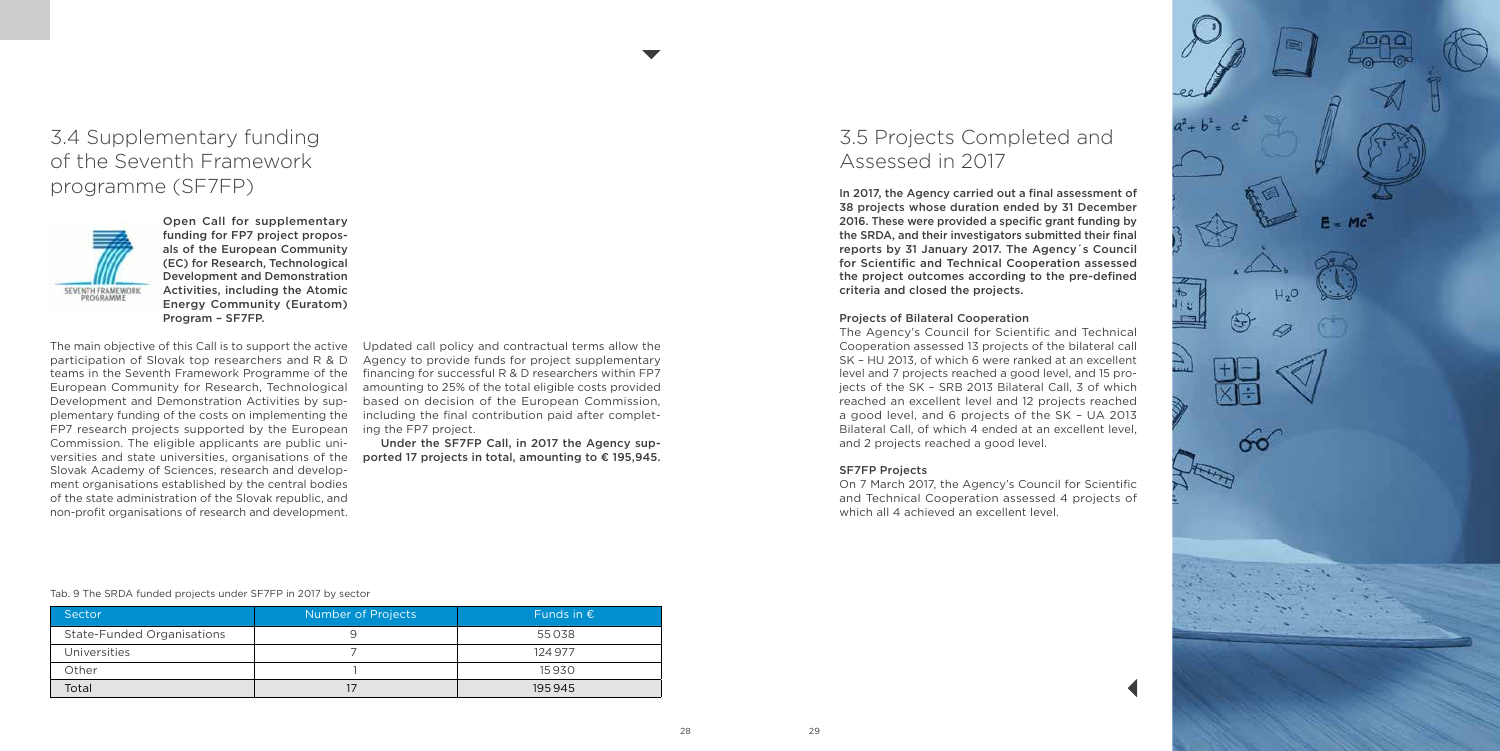**IE**  $\infty$ 

## 3.4 Supplementary funding of the Seventh Framework programme (SF7FP)



Open Call for supplementary funding for FP7 project proposals of the European Community (EC) for Research, Technological Development and Demonstration Activities, including the Atomic Energy Community (Euratom) Program – SF7FP.

The main objective of this Call is to support the active participation of Slovak top researchers and R & D teams in the Seventh Framework Programme of the European Community for Research, Technological Development and Demonstration Activities by supplementary funding of the costs on implementing the FP7 research projects supported by the European Commission. The eligible applicants are public universities and state universities, organisations of the Slovak Academy of Sciences, research and development organisations established by the central bodies of the state administration of the Slovak republic, and non-profit organisations of research and development.

Under the SF7FP Call, in 2017 the Agency supported 17 projects in total, amounting to € 195,945.

Updated call policy and contractual terms allow the Agency to provide funds for project supplementary financing for successful R & D researchers within FP7 amounting to 25% of the total eligible costs provided based on decision of the European Commission, including the final contribution paid after completing the FP7 project.

| Sector                            | Number of Projects | Funds in $\epsilon$ |
|-----------------------------------|--------------------|---------------------|
| <b>State-Funded Organisations</b> |                    | 55038               |
| <b>Universities</b>               |                    | 124,977             |
| Other                             |                    | 15930               |
| Total                             |                    | 195945              |

#### Tab. 9 The SRDA funded projects under SF7FP in 2017 by sector

## 3.5 Projects Completed and Assessed in 2017

In 2017, the Agency carried out a final assessment of 38 projects whose duration ended by 31 December 2016. These were provided a specific grant funding by the SRDA, and their investigators submitted their final reports by 31 January 2017. The Agency´s Council for Scientific and Technical Cooperation assessed the project outcomes according to the pre-defined criteria and closed the projects.

#### Projects of Bilateral Cooperation

The Agency's Council for Scientific and Technical Cooperation assessed 13 projects of the bilateral call SK – HU 2013, of which 6 were ranked at an excellent level and 7 projects reached a good level, and 15 projects of the SK – SRB 2013 Bilateral Call, 3 of which reached an excellent level and 12 projects reached a good level, and 6 projects of the SK – UA 2013 Bilateral Call, of which 4 ended at an excellent level, and 2 projects reached a good level.

#### SF7FP Projects

On 7 March 2017, the Agency's Council for Scientific and Technical Cooperation assessed 4 projects of which all 4 achieved an excellent level.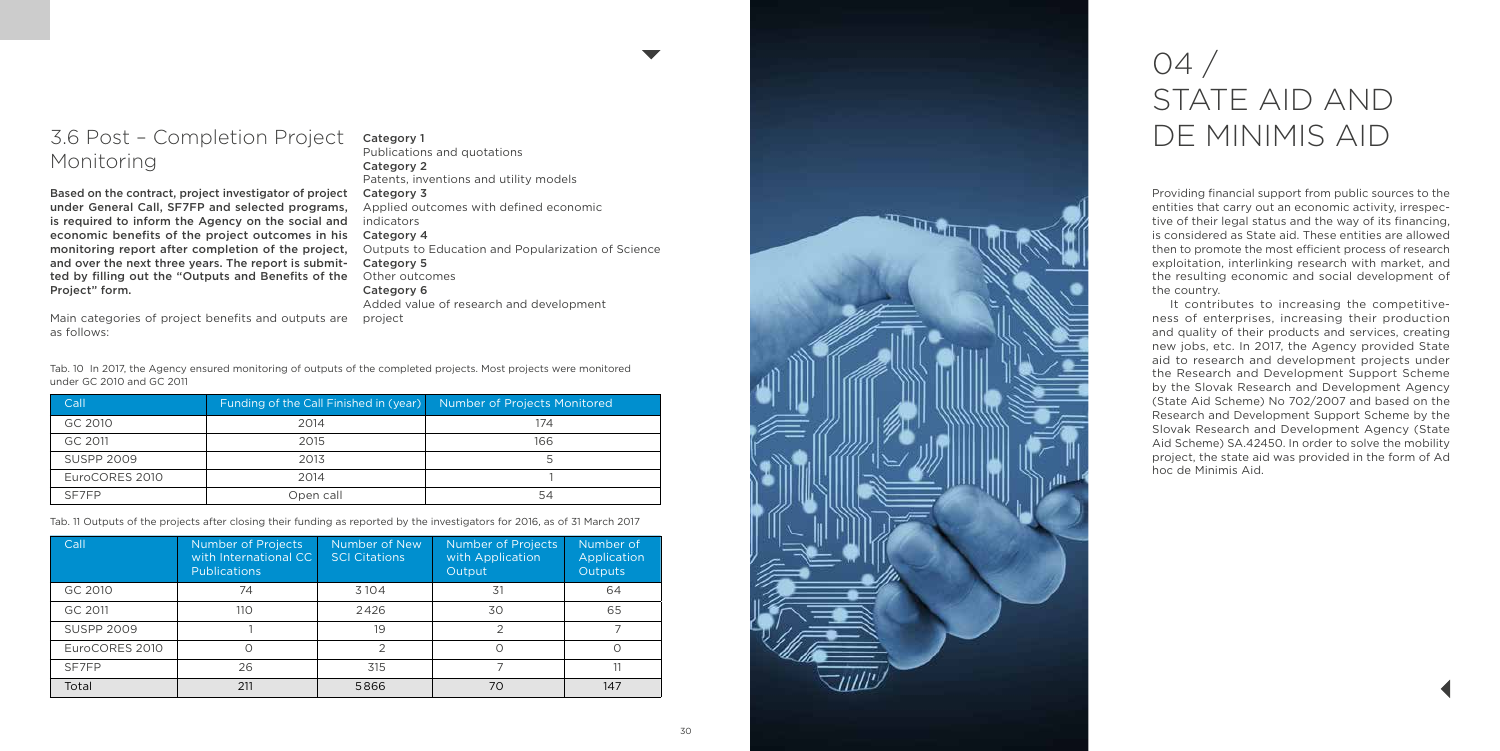

## 3.6 Post – Completion Project Monitoring

Based on the contract, project investigator of project Category 3 under General Call, SF7FP and selected programs, is required to inform the Agency on the social and economic benefits of the project outcomes in his monitoring report after completion of the project, and over the next three years. The report is submitted by filling out the "Outputs and Benefits of the Project" form.

Main categories of project benefits and outputs are projectas follows:

# 04 / STATE AID AND DE MINIMIS AID

Providing financial support from public sources to the entities that carry out an economic activity, irrespective of their legal status and the way of its financing, is considered as State aid. These entities are allowed then to promote the most efficient process of research exploitation, interlinking research with market, and the resulting economic and social development of the country.

It contributes to increasing the competitiveness of enterprises, increasing their production and quality of their products and services, creating new jobs, etc. In 2017, the Agency provided State aid to research and development projects under the Research and Development Support Scheme by the Slovak Research and Development Agency (State Aid Scheme) No 702/2007 and based on the Research and Development Support Scheme by the Slovak Research and Development Agency (State Aid Scheme) SA.42450. In order to solve the mobility project, the state aid was provided in the form of Ad hoc de Minimis Aid.

| Call              | Funding of the Call Finished in (year) | Number of Projects Monitored |
|-------------------|----------------------------------------|------------------------------|
| GC 2010           | 2014                                   | 174                          |
| GC 2011           | 2015                                   | 166                          |
| <b>SUSPP 2009</b> | 2013                                   | 5                            |
| EuroCORES 2010    | 2014                                   |                              |
| SE7FP             | Open call                              | 54                           |

Tab. 10 In 2017, the Agency ensured monitoring of outputs of the completed projects. Most projects were monitored under GC 2010 and GC 2011

Tab. 11 Outputs of the projects after closing their funding as reported by the investigators for 2016, as of 31 March 2017

| Call              | Number of Projects<br>with International CC<br><b>Publications</b> | Number of New<br><b>SCI Citations</b> | Number of Projects<br>with Application<br>Output | Number of<br>Application<br><b>Outputs</b> |
|-------------------|--------------------------------------------------------------------|---------------------------------------|--------------------------------------------------|--------------------------------------------|
| GC 2010           | 74                                                                 | 3104                                  | 31                                               | 64                                         |
| GC 2011           | 110                                                                | 2426                                  | 30                                               | 65                                         |
| <b>SUSPP 2009</b> |                                                                    | 19                                    | っ                                                |                                            |
| EuroCORES 2010    |                                                                    |                                       |                                                  |                                            |
| SF7FP             | 26                                                                 | 315                                   |                                                  |                                            |
| Total             | 211                                                                | 5866                                  | 70                                               | 147                                        |

Category 1 Publications and quotations Category 2 Patents, inventions and utility models Applied outcomes with defined economic indicators Category 4 Outputs to Education and Popularization of Science Category 5 Other outcomes Category 6 Added value of research and development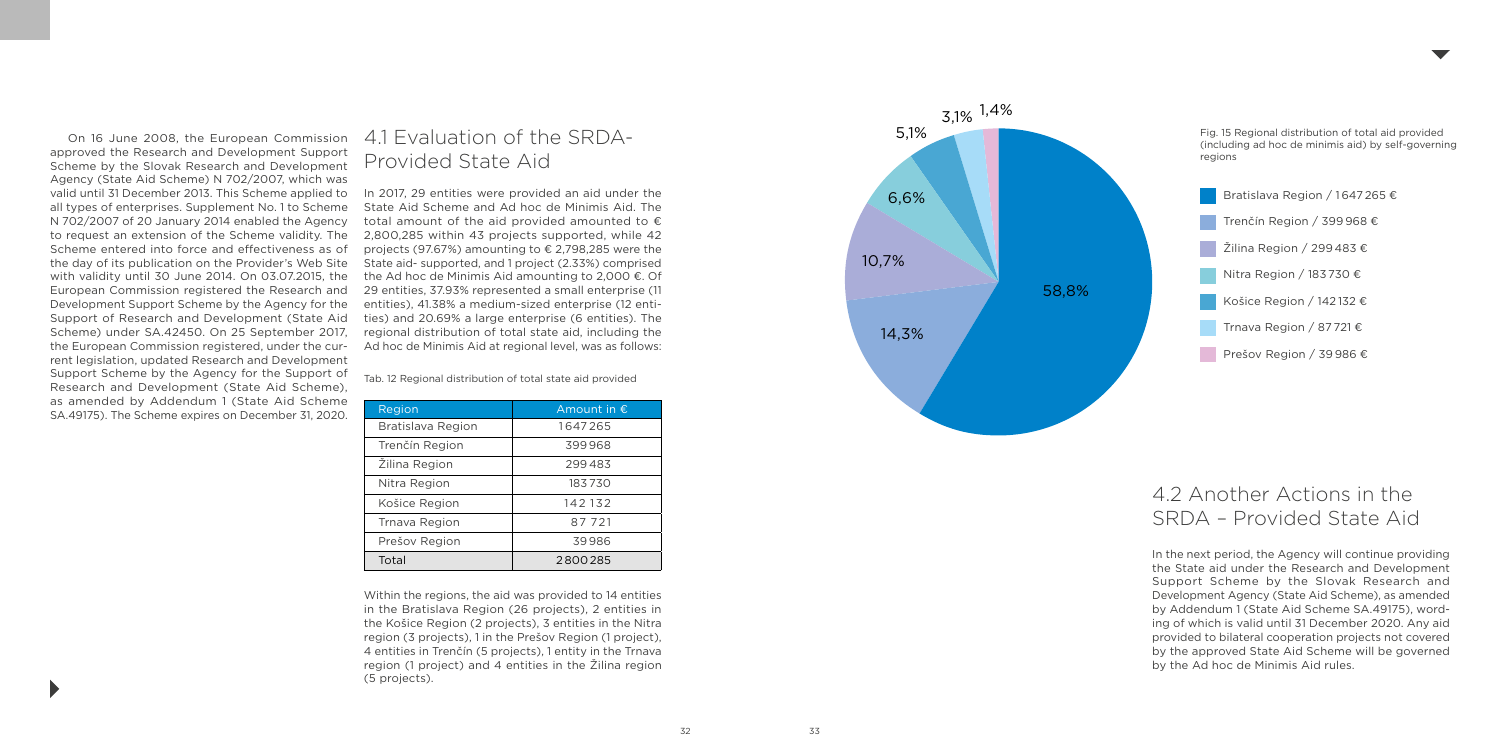

## 4.2 Another Actions in the SRDA – Provided State Aid

In the next period, the Agency will continue providing the State aid under the Research and Development Support Scheme by the Slovak Research and Development Agency (State Aid Scheme), as amended by Addendum 1 (State Aid Scheme SA.49175), wording of which is valid until 31 December 2020. Any aid provided to bilateral cooperation projects not covered by the approved State Aid Scheme will be governed by the Ad hoc de Minimis Aid rules.

On 16 June 2008, the European Commission approved the Research and Development Support Scheme by the Slovak Research and Development Agency (State Aid Scheme) N 702/2007, which was valid until 31 December 2013. This Scheme applied to all types of enterprises. Supplement No. 1 to Scheme N 702/2007 of 20 January 2014 enabled the Agency to request an extension of the Scheme validity. The Scheme entered into force and effectiveness as of the day of its publication on the Provider's Web Site with validity until 30 June 2014. On 03.07.2015, the European Commission registered the Research and Development Support Scheme by the Agency for the Support of Research and Development (State Aid Scheme) under SA.42450. On 25 September 2017, the European Commission registered, under the current legislation, updated Research and Development Support Scheme by the Agency for the Support of Research and Development (State Aid Scheme), as amended by Addendum 1 (State Aid Scheme SA.49175). The Scheme expires on December 31, 2020.

## 4.1 Evaluation of the SRDA-Provided State Aid

In 2017, 29 entities were provided an aid under the State Aid Scheme and Ad hoc de Minimis Aid. The total amount of the aid provided amounted to  $\epsilon$ 2,800,285 within 43 projects supported, while 42 projects (97.67%) amounting to € 2,798,285 were the State aid- supported, and 1 project (2.33%) comprised the Ad hoc de Minimis Aid amounting to 2,000 €. Of 29 entities, 37.93% represented a small enterprise (11 entities), 41.38% a medium-sized enterprise (12 entities) and 20.69% a large enterprise (6 entities). The regional distribution of total state aid, including the Ad hoc de Minimis Aid at regional level, was as follows:

Within the regions, the aid was provided to 14 entities in the Bratislava Region (26 projects), 2 entities in the Košice Region (2 projects), 3 entities in the Nitra region (3 projects), 1 in the Prešov Region (1 project), 4 entities in Trenčín (5 projects), 1 entity in the Trnava region (1 project) and 4 entities in the Žilina region (5 projects).

| Region            | Amount in $\epsilon$ |
|-------------------|----------------------|
| Bratislava Region | 1647265              |
| Trenčín Region    | 399968               |
| Žilina Region     | 299483               |
| Nitra Region      | 183730               |
| Košice Region     | 142132               |
| Trnava Region     | 87721                |
| Prešov Region     | 39986                |
| Total             | 2800285              |

Tab. 12 Regional distribution of total state aid provided



| Bratislava Region / 1647 265 + |
|--------------------------------|
| Trenčín Region / 399 968 €     |
| Žilina Region / 299 483 €      |
| Nitra Region / 183 730 €       |
| Košice Region / 142132 €       |
| Trnava Region / 87 721 €       |
| Prešov Region / 39986 €        |

Fig. 15 Regional distribution of total aid provided (including ad hoc de minimis aid) by self-governing regions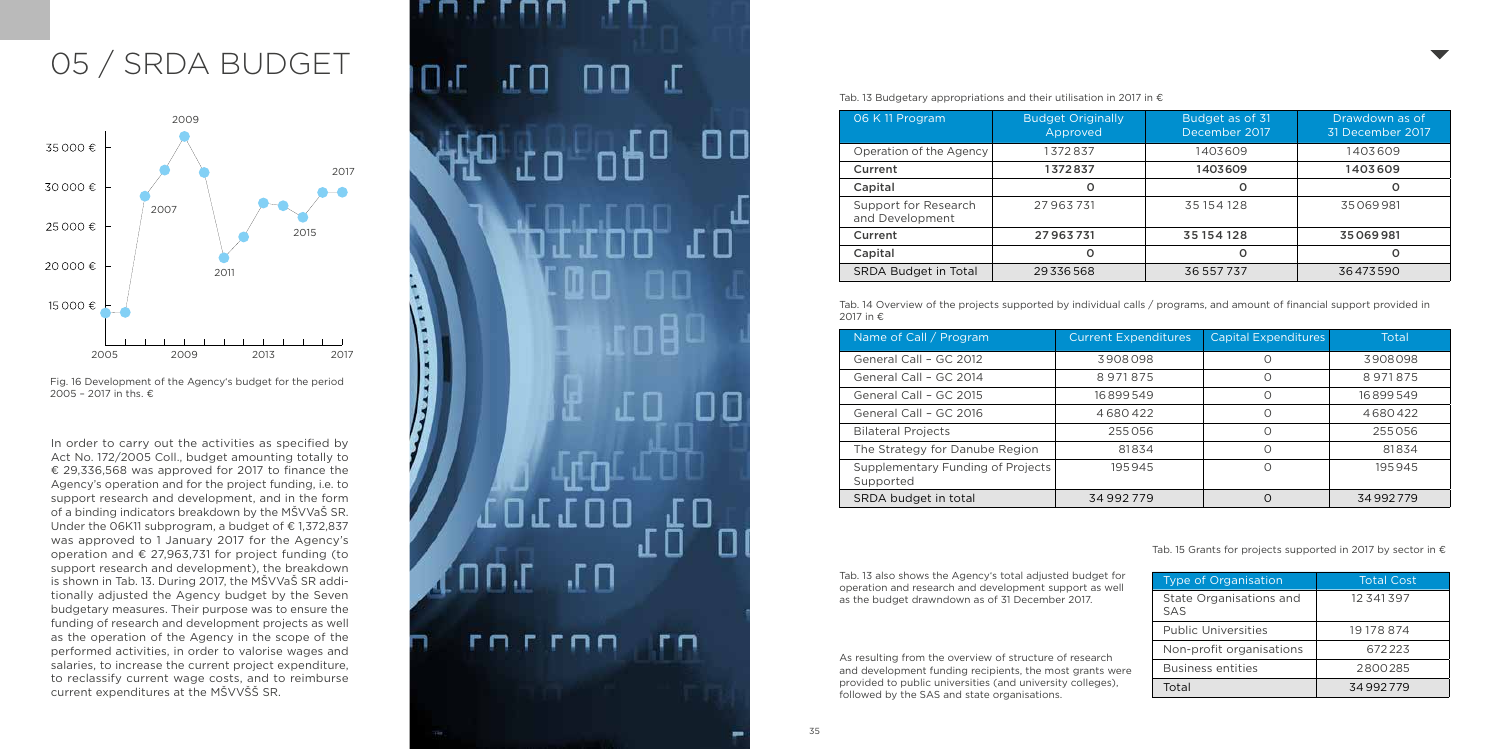# 05 / SRDA BUDGET

In order to carry out the activities as specified by Act No. 172/2005 Coll., budget amounting totally to € 29,336,568 was approved for 2017 to finance the Agency's operation and for the project funding, i.e. to support research and development, and in the form of a binding indicators breakdown by the MŠVVaŠ SR. Under the 06K11 subprogram, a budget of € 1,372,837 was approved to 1 January 2017 for the Agency's operation and € 27,963,731 for project funding (to support research and development), the breakdown is shown in Tab. 13. During 2017, the MŠVVaŠ SR addi tionally adjusted the Agency budget by the Seven budgetary measures. Their purpose was to ensure the funding of research and development projects as well as the operation of the Agency in the scope of the performed activities, in order to valorise wages and salaries, to increase the current project expenditure, to reclassify current wage costs, and to reimburse current expenditures at the MŠVVŠŠ SR.

# டா ПJ 卫 ы 35 **35** 35

Tab. 13 Budgetary appropriations and their utilisation in 2017 in  $\epsilon$ 

| 06 K 11 Program                         | <b>Budget Originally</b><br>Approved | Budget as of 31<br>December 2017 | Drawdown as of<br>31 December 2017 |
|-----------------------------------------|--------------------------------------|----------------------------------|------------------------------------|
| Operation of the Agency                 | 1372837                              | 1403609                          | 1403609                            |
| Current                                 | 1372837                              | 1403609                          | 1403609                            |
| Capital                                 | o                                    |                                  | O                                  |
| Support for Research<br>and Development | 27963731                             | 35154128                         | 35069981                           |
| Current                                 | 27963731                             | 35154128                         | 35069981                           |
| Capital                                 | 0                                    |                                  | O                                  |
| <b>SRDA Budget in Total</b>             | 29336568                             | 36 557 737                       | 36473590                           |

| Name of Call / Program                         | <b>Current Expenditures</b> | Capital Expenditures | Total    |
|------------------------------------------------|-----------------------------|----------------------|----------|
| General Call - GC 2012                         | 3908098                     | Ω                    | 3908098  |
| General Call - GC 2014                         | 8971875                     | Ο                    | 8971875  |
| General Call - GC 2015                         | 16899549                    | 0                    | 16899549 |
| General Call - GC 2016                         | 4680422                     | O                    | 4680422  |
| <b>Bilateral Projects</b>                      | 255056                      | Ω                    | 255056   |
| The Strategy for Danube Region                 | 81834                       | Ω                    | 81834    |
| Supplementary Funding of Projects<br>Supported | 195945                      | 0                    | 195945   |
| SRDA budget in total                           | 34992779                    | $\Omega$             | 34992779 |

Tab. 14 Overview of the projects supported by individual calls / programs, and amount of financial support provided in 2017 in €

| <b>Type of Organisation</b>           | <b>Total Cost</b> |  |
|---------------------------------------|-------------------|--|
| State Organisations and<br><b>SAS</b> | 12 341 397        |  |
| <b>Public Universities</b>            | 19 178 874        |  |
| Non-profit organisations              | 672223            |  |
| <b>Business entities</b>              | 2800285           |  |
| Total                                 | 34992779          |  |

As resulting from the overview of structure of research and development funding recipients, the most grants were provided to public universities (and university colleges), followed by the SAS and state organisations.



Tab. 15 Grants for projects supported in 2017 by sector in  $\epsilon$ 



Fig. 16 Development of the Agency's budget for the period 2005 – 2017 in ths. €

Tab. 13 also shows the Agency's total adjusted budget for operation and research and development support as well as the budget drawndown as of 31 December 2017.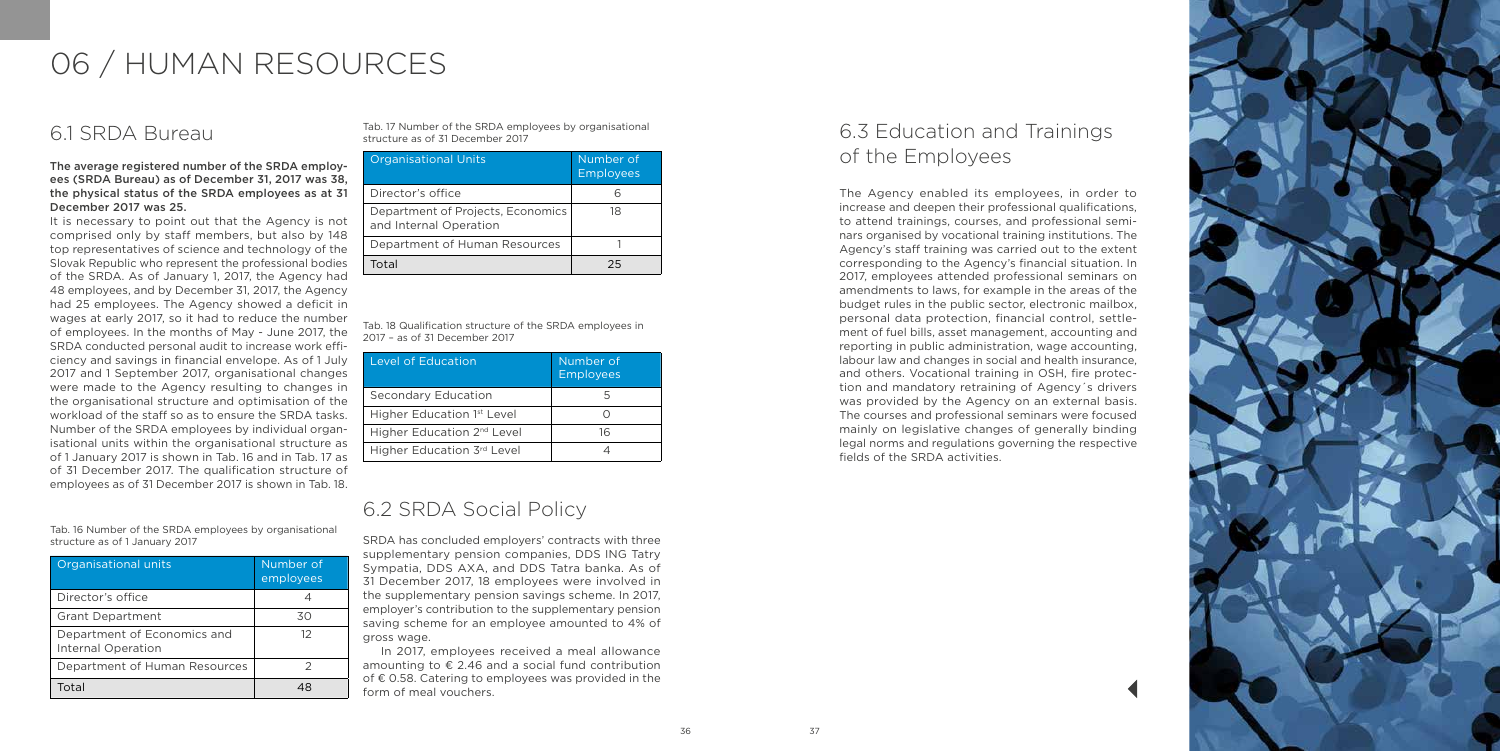

## 6.1 SRDA Bureau

The average registered number of the SRDA employees (SRDA Bureau) as of December 31, 2017 was 38, the physical status of the SRDA employees as at 31 December 2017 was 25.

It is necessary to point out that the Agency is not comprised only by staff members, but also by 148 top representatives of science and technology of the Slovak Republic who represent the professional bodies of the SRDA. As of January 1, 2017, the Agency had 48 employees, and by December 31, 2017, the Agency had 25 employees. The Agency showed a deficit in wages at early 2017, so it had to reduce the number of employees. In the months of May - June 2017, the SRDA conducted personal audit to increase work efficiency and savings in financial envelope. As of 1 July 2017 and 1 September 2017, organisational changes were made to the Agency resulting to changes in the organisational structure and optimisation of the workload of the staff so as to ensure the SRDA tasks. Number of the SRDA employees by individual organisational units within the organisational structure as of 1 January 2017 is shown in Tab. 16 and in Tab. 17 as of 31 December 2017. The qualification structure of employees as of 31 December 2017 is shown in Tab. 18.

| Organisational units                              | Number of<br>employees |
|---------------------------------------------------|------------------------|
| Director's office                                 |                        |
| <b>Grant Department</b>                           | 30                     |
| Department of Economics and<br>Internal Operation | 12                     |
| Department of Human Resources                     |                        |
| Total                                             |                        |

| <b>Organisational Units</b>                                 | Number of<br>Employees |
|-------------------------------------------------------------|------------------------|
| Director's office                                           |                        |
| Department of Projects, Economics<br>and Internal Operation | 18                     |
| Department of Human Resources                               |                        |
| Total                                                       | つら                     |

| <b>Level of Education</b>              | Number of<br><b>Employees</b> |
|----------------------------------------|-------------------------------|
| Secondary Education                    |                               |
| Higher Education 1 <sup>st</sup> Level |                               |
| Higher Education 2 <sup>nd</sup> Level | 16                            |
| Higher Education 3rd Level             |                               |

Tab. 16 Number of the SRDA employees by organisational structure as of 1 January 2017

Tab. 17 Number of the SRDA employees by organisational structure as of 31 December 2017

Tab. 18 Qualification structure of the SRDA employees in 2017 – as of 31 December 2017

## 6.3 Education and Trainings of the Employees

The Agency enabled its employees, in order to increase and deepen their professional qualifications, to attend trainings, courses, and professional seminars organised by vocational training institutions. The Agency's staff training was carried out to the extent corresponding to the Agency's financial situation. In 2017, employees attended professional seminars on amendments to laws, for example in the areas of the budget rules in the public sector, electronic mailbox, personal data protection, financial control, settlement of fuel bills, asset management, accounting and reporting in public administration, wage accounting, labour law and changes in social and health insurance, and others. Vocational training in OSH, fire protection and mandatory retraining of Agency´s drivers was provided by the Agency on an external basis. The courses and professional seminars were focused mainly on legislative changes of generally binding legal norms and regulations governing the respective fields of the SRDA activities.

## 6.2 SRDA Social Policy

SRDA has concluded employers' contracts with three supplementary pension companies, DDS ING Tatry Sympatia, DDS AXA, and DDS Tatra banka. As of 31 December 2017, 18 employees were involved in the supplementary pension savings scheme. In 2017, employer's contribution to the supplementary pension saving scheme for an employee amounted to 4% of gross wage.

In 2017, employees received a meal allowance amounting to € 2.46 and a social fund contribution of € 0.58. Catering to employees was provided in the form of meal vouchers.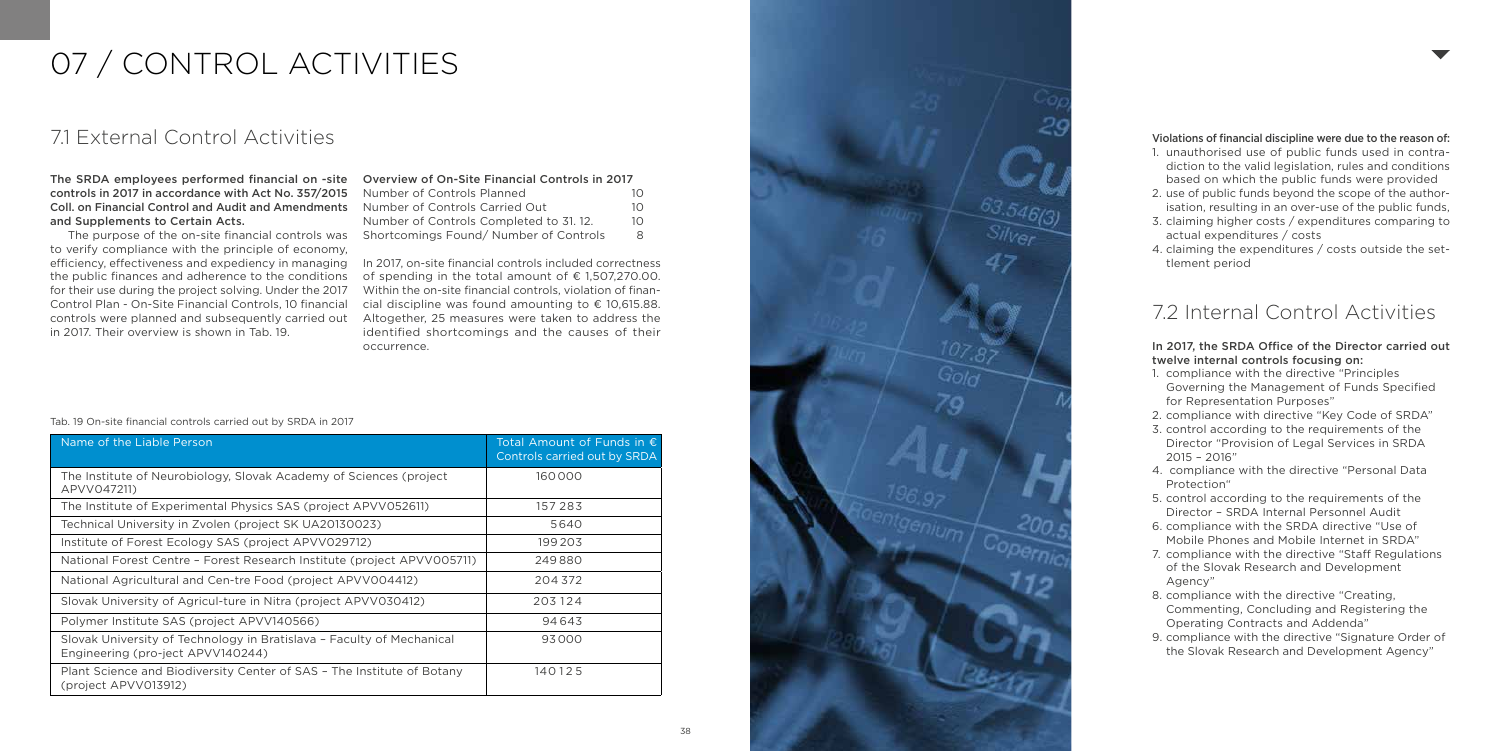

# 07 / CONTROL ACTIVITIES

## 7.1 External Control Activities

The SRDA employees performed financial on -site controls in 2017 in accordance with Act No. 357/2015 Coll. on Financial Control and Audit and Amendments and Supplements to Certain Acts.

The purpose of the on -site financial controls was to verify compliance with the principle of economy, efficiency, effectiveness and expediency in managing the public finances and adherence to the conditions for their use during the project solving. Under the 2017 Control Plan - On -Site Financial Controls, 10 financial controls were planned and subsequently carried out in 2017. Their overview is shown in Tab. 19.

| Name of the Liable Person                                                                                  | Total Amount of Funds in $\epsilon$<br>Controls carried out by SRDA |
|------------------------------------------------------------------------------------------------------------|---------------------------------------------------------------------|
| The Institute of Neurobiology, Slovak Academy of Sciences (project<br>APVV047211)                          | 160000                                                              |
| The Institute of Experimental Physics SAS (project APVV052611)                                             | 157283                                                              |
| Technical University in Zvolen (project SK UA20130023)                                                     | 5640                                                                |
| Institute of Forest Ecology SAS (project APVV029712)                                                       | 199203                                                              |
| National Forest Centre - Forest Research Institute (project APVV005711)                                    | 249880                                                              |
| National Agricultural and Cen-tre Food (project APVV004412)                                                | 204372                                                              |
| Slovak University of Agricul-ture in Nitra (project APVV030412)                                            | 203124                                                              |
| Polymer Institute SAS (project APVV140566)                                                                 | 94643                                                               |
| Slovak University of Technology in Bratislava - Faculty of Mechanical<br>Engineering (pro-ject APVV140244) | 93000                                                               |
| Plant Science and Biodiversity Center of SAS - The Institute of Botany<br>(project APVV013912)             | 140125                                                              |

#### Tab. 19 On -site financial controls carried out by SRDA in 2017

| Number of Controls Planned              | 10. |
|-----------------------------------------|-----|
| Number of Controls Carried Out          | 10  |
| Number of Controls Completed to 31, 12. | 10  |
| Shortcomings Found/Number of Controls   | 8   |

In 2017, on -site financial controls included correctness of spending in the total amount of  $\epsilon$  1.507.270.00. Within the on -site financial controls, violation of finan cial discipline was found amounting to € 10,615.88. Altogether, 25 measures were taken to address the identified shortcomings and the causes of their occurrence.

#### Violations of financial discipline were due to the reason of:

- 1. unauthorised use of public funds used in contra diction to the valid legislation, rules and conditions based on which the public funds were provided
- 2. use of public funds beyond the scope of the author isation, resulting in an over -use of the public funds,
- 3. claiming higher costs / expenditures comparing to actual expenditures / costs
- 4. claiming the expenditures / costs outside the set tlement period

## 7.2 Internal Control Activities

#### In 2017, the SRDA Office of the Director carried out twelve internal controls focusing on:

- 1. compliance with the directive "Principles Governing the Management of Funds Specified for Representation Purposes"
- 2. compliance with directive "Key Code of SRDA"
- 3. control according to the requirements of the Director "Provision of Legal Services in SRDA 2015 – 2016"
- 4. compliance with the directive "Personal Data Protection"
- 5. control according to the requirements of the Director – SRDA Internal Personnel Audit
- 6. compliance with the SRDA directive "Use of Mobile Phones and Mobile Internet in SRDA"
- 7. compliance with the directive "Staff Regulations of the Slovak Research and Development Agency"
- 8. compliance with the directive "Creating, Commenting, Concluding and Registering the Operating Contracts and Addenda"
- 9. compliance with the directive "Signature Order of the Slovak Research and Development Agency"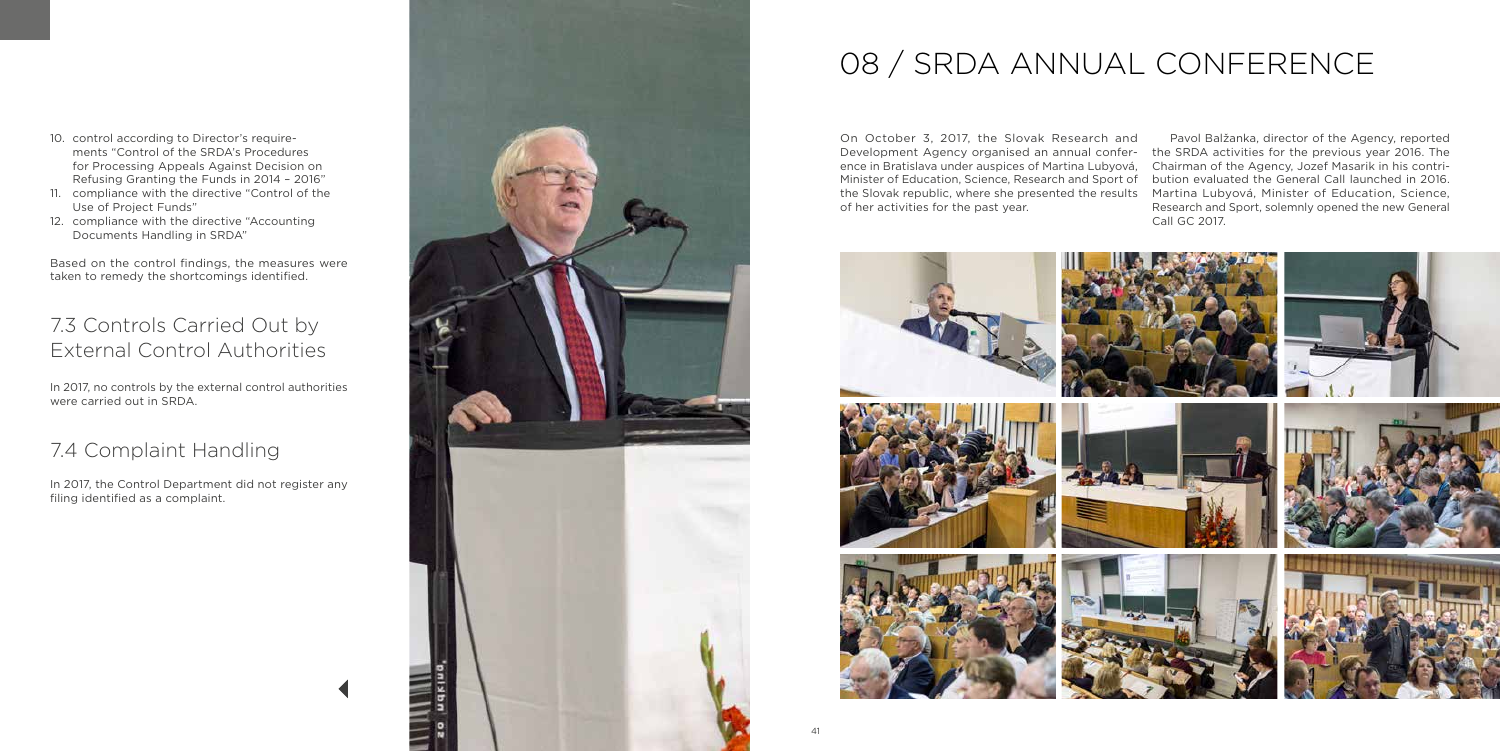

- 10. control according to Director's requirements "Control of the SRDA's Procedures for Processing Appeals Against Decision on Refusing Granting the Funds in 2014 – 2016"
- 11. compliance with the directive "Control of the Use of Project Funds"
- 12. compliance with the directive "Accounting Documents Handling in SRDA"

Based on the control findings, the measures were taken to remedy the shortcomings identified.

## 7.3 Controls Carried Out by External Control Authorities

In 2017, no controls by the external control authorities were carried out in SRDA.

## 7.4 Complaint Handling

In 2017, the Control Department did not register any filing identified as a complaint.

# 08 / SRDA ANNUAL CONFERENCE

On October 3, 2017, the Slovak Research and Development Agency organised an annual conference in Bratislava under auspices of Martina Lubyová, Minister of Education, Science, Research and Sport of the Slovak republic, where she presented the results of her activities for the past year. Pavol Balžanka, director of the Agency, reported the SRDA activities for the previous year 2016. The Chairman of the Agency, Jozef Masarik in his contribution evaluated the General Call launched in 2016. Martina Lubyová, Minister of Education, Science, Research and Sport, solemnly opened the new General Call GC 2017.

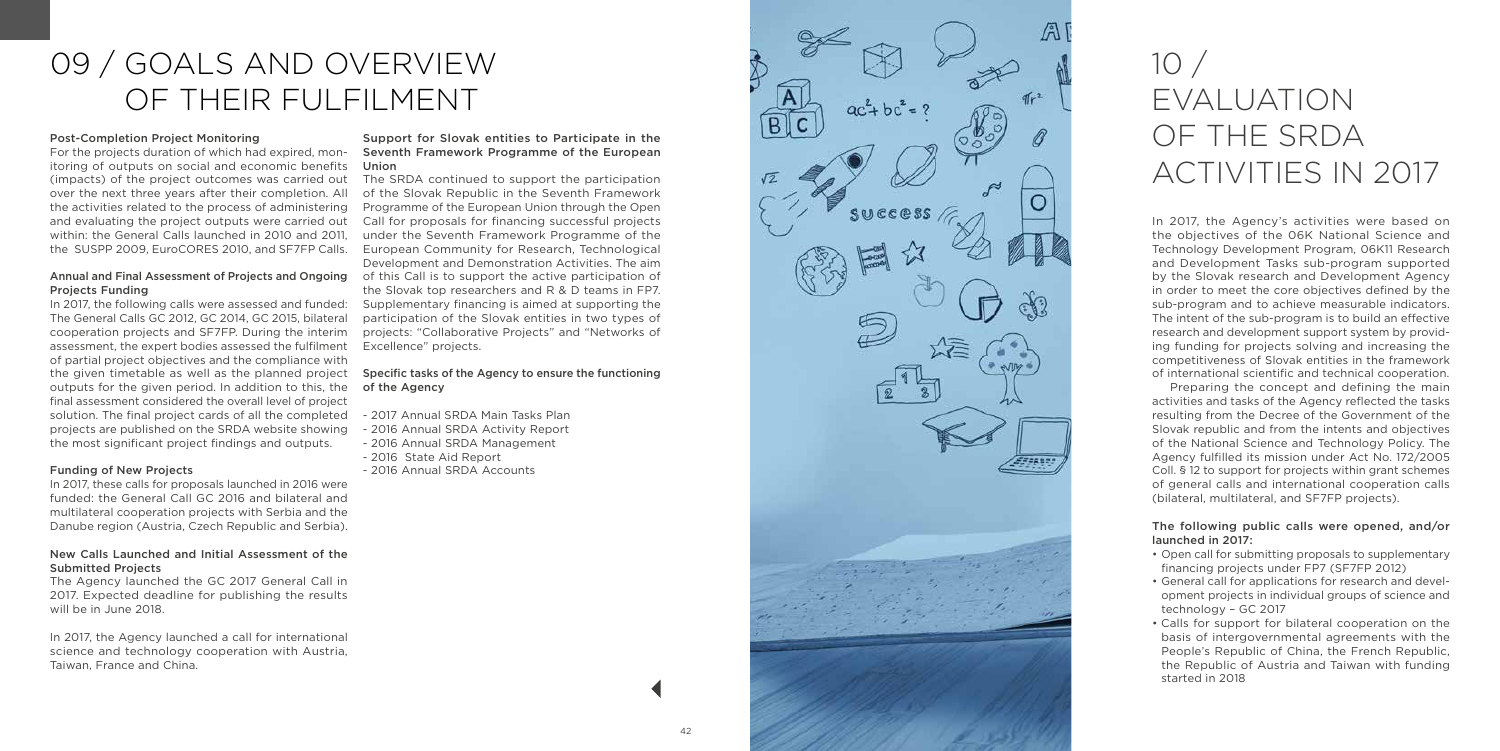# 09 / GOALS AND OVERVIEW OF THEIR FULFILMENT

#### Post -Completion Project Monitoring

For the projects duration of which had expired, mon itoring of outputs on social and economic benefits Union (impacts) of the project outcomes was carried out over the next three years after their completion. All the activities related to the process of administering and evaluating the project outputs were carried out within: the General Calls launched in 2010 and 2011, the SUSPP 2009, EuroCORES 2010, and SF7FP Calls.

## Projects Funding

In 2017, the following calls were assessed and funded: The General Calls GC 2012, GC 2014, GC 2015, bilateral cooperation projects and SF7FP. During the interim assessment, the expert bodies assessed the fulfilment of partial project objectives and the compliance with the given timetable as well as the planned project outputs for the given period. In addition to this, the final assessment considered the overall level of project solution. The final project cards of all the completed projects are published on the SRDA website showing the most significant project findings and outputs.

#### Funding of New Projects

Annual and Final Assessment of Projects and Ongoing of this Call is to support the active participation of The SRDA continued to support the participation of the Slovak Republic in the Seventh Framework Programme of the European Union through the Open Call for proposals for financing successful projects under the Seventh Framework Programme of the European Community for Research, Technological Development and Demonstration Activities. The aim the Slovak top researchers and R & D teams in FP7. Supplementary financing is aimed at supporting the participation of the Slovak entities in two types of projects: "Collaborative Projects" and "Networks of Excellence" projects.

In 2017, these calls for proposals launched in 2016 were funded: the General Call GC 2016 and bilateral and multilateral cooperation projects with Serbia and the Danube region (Austria, Czech Republic and Serbia).

#### New Calls Launched and Initial Assessment of the Submitted Projects

The Agency launched the GC 2017 General Call in 2017. Expected deadline for publishing the results will be in June 2018.

In 2017, the Agency launched a call for international science and technology cooperation with Austria, Taiwan, France and China.

### Support for Slovak entities to Participate in the Seventh Framework Programme of the European

#### Specific tasks of the Agency to ensure the functioning of the Agency

- 2017 Annual SRDA Main Tasks Plan 2016 Annual SRDA Activity Report 2016 Annual SRDA Management 2016 State Aid Report 2016 Annual SRDA Accounts
- 
- 
- 
- 

# 10 / EVALUATION OF THE SRDA ACTIVITIES IN 2017

A

**SHEERS** 

 $ac + bc = 9$ 

SUCCOSS

<sub>B</sub>

In 2017, the Agency's activities were based on the objectives of the 06K National Science and Technology Development Program, 06K11 Research and Development Tasks sub -program supported by the Slovak research and Development Agency in order to meet the core objectives defined by the sub -program and to achieve measurable indicators. The intent of the sub -program is to build an effective research and development support system by provid ing funding for projects solving and increasing the competitiveness of Slovak entities in the framework of international scientific and technical cooperation.

Preparing the concept and defining the main activities and tasks of the Agency reflected the tasks resulting from the Decree of the Government of the Slovak republic and from the intents and objectives of the National Science and Technology Policy. The Agency fulfilled its mission under Act No. 172/2005 Coll. § 12 to support for projects within grant schemes of general calls and international cooperation calls (bilateral, multilateral, and SF7FP projects).

#### The following public calls were opened, and/or launched in 2017:

- Open call for submitting proposals to supplementary financing projects under FP7 (SF7FP 2012)
- General call for applications for research and devel opment projects in individual groups of science and technology – GC 2017
- Calls for support for bilateral cooperation on the basis of intergovernmental agreements with the People's Republic of China, the French Republic, the Republic of Austria and Taiwan with funding started in 2018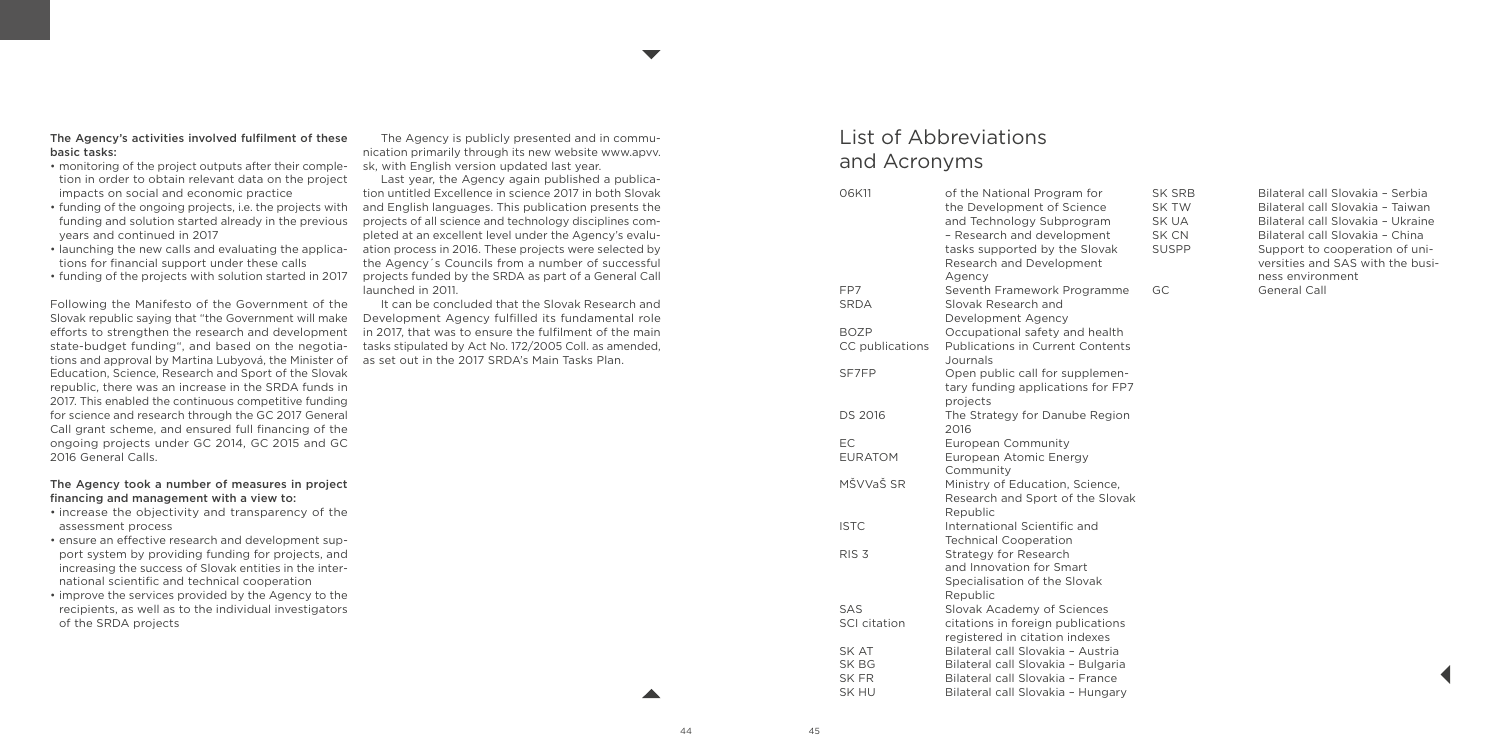#### The Agency's activities involved fulfilment of these basic tasks:

- monitoring of the project outputs after their completion in order to obtain relevant data on the project impacts on social and economic practice
- funding of the ongoing projects, i.e. the projects with funding and solution started already in the previous years and continued in 2017
- launching the new calls and evaluating the applications for financial support under these calls
- funding of the projects with solution started in 2017

Following the Manifesto of the Government of the Slovak republic saying that "the Government will make efforts to strengthen the research and development state-budget funding", and based on the negotiations and approval by Martina Lubyová, the Minister of Education, Science, Research and Sport of the Slovak republic, there was an increase in the SRDA funds in 2017. This enabled the continuous competitive funding for science and research through the GC 2017 General Call grant scheme, and ensured full financing of the ongoing projects under GC 2014, GC 2015 and GC 2016 General Calls.

#### The Agency took a number of measures in project financing and management with a view to:

- increase the objectivity and transparency of the assessment process
- ensure an effective research and development support system by providing funding for projects, and increasing the success of Slovak entities in the international scientific and technical cooperation
- improve the services provided by the Agency to the recipients, as well as to the individual investigators of the SRDA projects

The Agency is publicly presented and in communication primarily through its new website www.apvv. sk, with English version updated last year.

 $\blacktriangledown$ 

Last year, the Agency again published a publication untitled Excellence in science 2017 in both Slovak and English languages. This publication presents the projects of all science and technology disciplines completed at an excellent level under the Agency's evaluation process in 2016. These projects were selected by the Agency´s Councils from a number of successful projects funded by the SRDA as part of a General Call launched in 2011.

It can be concluded that the Slovak Research and Development Agency fulfilled its fundamental role in 2017, that was to ensure the fulfilment of the main tasks stipulated by Act No. 172/2005 Coll. as amended, as set out in the 2017 SRDA's Main Tasks Plan.

## List of Abbreviations and Acronyms

| of the National Program for                                           |
|-----------------------------------------------------------------------|
| the Development of Science                                            |
| and Technology Subprogram                                             |
| - Research and development                                            |
| tasks supported by the Slovak                                         |
| Research and Development                                              |
| Agency                                                                |
| Seventh Framework Programme                                           |
| Slovak Research and                                                   |
| Development Agency                                                    |
| Occupational safety and health                                        |
| <b>Publications in Current Contents</b>                               |
| Journals                                                              |
| Open public call for supplemen-                                       |
| tary funding applications for FP7                                     |
| projects                                                              |
| The Strategy for Danube Region                                        |
| 2016                                                                  |
| <b>European Community</b>                                             |
| European Atomic Energy                                                |
| Community                                                             |
| Ministry of Education, Science,                                       |
| Research and Sport of the Slovak                                      |
| Republic                                                              |
| International Scientific and                                          |
| <b>Technical Cooperation</b>                                          |
| Strategy for Research                                                 |
| and Innovation for Smart                                              |
|                                                                       |
| Specialisation of the Slovak                                          |
| Republic                                                              |
| Slovak Academy of Sciences                                            |
| citations in foreign publications                                     |
| registered in citation indexes                                        |
| Bilateral call Slovakia - Austria                                     |
|                                                                       |
| Bilateral call Slovakia - Bulgaria                                    |
| Bilateral call Slovakia - France<br>Bilateral call Slovakia - Hungary |
|                                                                       |

| SK SRB       | Bilateral call Slovakia - Serbia                                   |
|--------------|--------------------------------------------------------------------|
| SK TW        | Bilateral call Slovakia - Taiwan                                   |
| SK UA        | Bilateral call Slovakia - Ukraine                                  |
| SK CN        | Bilateral call Slovakia - China                                    |
| <b>SUSPP</b> | Support to cooperation of uni-<br>versities and SAS with the busi- |
|              | ness environment                                                   |
| GC.          | General Call                                                       |
|              |                                                                    |